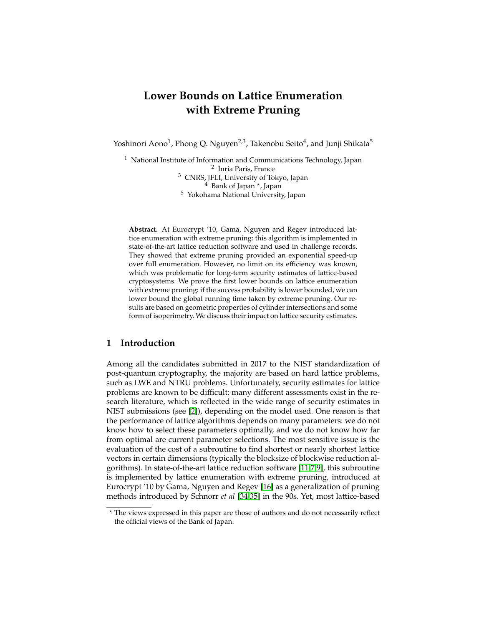# **Lower Bounds on Lattice Enumeration with Extreme Pruning**

Yoshinori Aono<sup>1</sup>, Phong Q. Nguyen<sup>2,3</sup>, Takenobu Seito<sup>4</sup>, and Junji Shikata<sup>5</sup>

<sup>1</sup> National Institute of Information and Communications Technology, Japan 2 Inria Paris, France <sup>3</sup> CNRS, JFLI, University of Tokyo, Japan <sup>4</sup> Bank of Japan<sup>\*</sup>, Japan <sup>5</sup> Yokohama National University, Japan

**Abstract.** At Eurocrypt '10, Gama, Nguyen and Regev introduced lattice enumeration with extreme pruning: this algorithm is implemented in state-of-the-art lattice reduction software and used in challenge records. They showed that extreme pruning provided an exponential speed-up over full enumeration. However, no limit on its efficiency was known, which was problematic for long-term security estimates of lattice-based cryptosystems. We prove the first lower bounds on lattice enumeration with extreme pruning: if the success probability is lower bounded, we can lower bound the global running time taken by extreme pruning. Our results are based on geometric properties of cylinder intersections and some form of isoperimetry. We discuss their impact on lattice security estimates.

# **1 Introduction**

Among all the candidates submitted in 2017 to the NIST standardization of post-quantum cryptography, the majority are based on hard lattice problems, such as LWE and NTRU problems. Unfortunately, security estimates for lattice problems are known to be difficult: many different assessments exist in the research literature, which is reflected in the wide range of security estimates in NIST submissions (see [\[2\]](#page-24-0)), depending on the model used. One reason is that the performance of lattice algorithms depends on many parameters: we do not know how to select these parameters optimally, and we do not know how far from optimal are current parameter selections. The most sensitive issue is the evaluation of the cost of a subroutine to find shortest or nearly shortest lattice vectors in certain dimensions (typically the blocksize of blockwise reduction algorithms). In state-of-the-art lattice reduction software [\[11,](#page-25-0)[7,](#page-25-1)[9\]](#page-25-2), this subroutine is implemented by lattice enumeration with extreme pruning, introduced at Eurocrypt '10 by Gama, Nguyen and Regev [\[16\]](#page-25-3) as a generalization of pruning methods introduced by Schnorr *et al* [\[34,](#page-26-0)[35\]](#page-26-1) in the 90s. Yet, most lattice-based

<sup>?</sup> The views expressed in this paper are those of authors and do not necessarily reflect the official views of the Bank of Japan.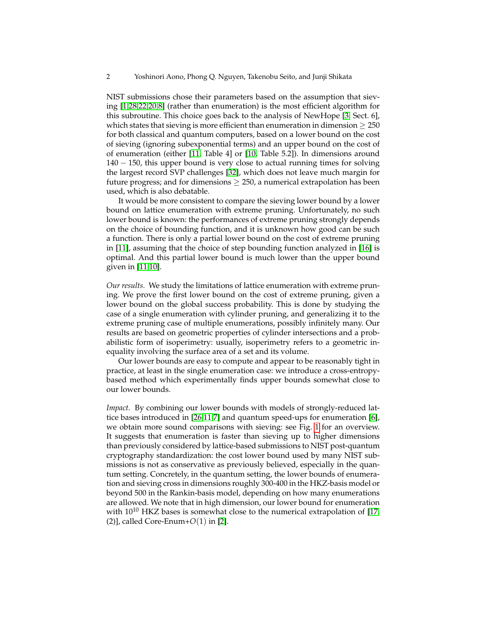NIST submissions chose their parameters based on the assumption that sieving [\[1](#page-24-1)[,28](#page-26-2)[,22](#page-26-3)[,20](#page-25-4)[,8\]](#page-25-5) (rather than enumeration) is the most efficient algorithm for this subroutine. This choice goes back to the analysis of NewHope [\[3,](#page-25-6) Sect. 6], which states that sieving is more efficient than enumeration in dimension  $\geq 250$ for both classical and quantum computers, based on a lower bound on the cost of sieving (ignoring subexponential terms) and an upper bound on the cost of of enumeration (either [\[11,](#page-25-0) Table 4] or [\[10,](#page-25-7) Table 5.2]). In dimensions around 140 − 150, this upper bound is very close to actual running times for solving the largest record SVP challenges [\[32\]](#page-26-4), which does not leave much margin for future progress; and for dimensions  $\geq 250$ , a numerical extrapolation has been used, which is also debatable.

It would be more consistent to compare the sieving lower bound by a lower bound on lattice enumeration with extreme pruning. Unfortunately, no such lower bound is known: the performances of extreme pruning strongly depends on the choice of bounding function, and it is unknown how good can be such a function. There is only a partial lower bound on the cost of extreme pruning in [\[11\]](#page-25-0), assuming that the choice of step bounding function analyzed in [\[16\]](#page-25-3) is optimal. And this partial lower bound is much lower than the upper bound given in [\[11](#page-25-0)[,10\]](#page-25-7).

*Our results.* We study the limitations of lattice enumeration with extreme pruning. We prove the first lower bound on the cost of extreme pruning, given a lower bound on the global success probability. This is done by studying the case of a single enumeration with cylinder pruning, and generalizing it to the extreme pruning case of multiple enumerations, possibly infinitely many. Our results are based on geometric properties of cylinder intersections and a probabilistic form of isoperimetry: usually, isoperimetry refers to a geometric inequality involving the surface area of a set and its volume.

Our lower bounds are easy to compute and appear to be reasonably tight in practice, at least in the single enumeration case: we introduce a cross-entropybased method which experimentally finds upper bounds somewhat close to our lower bounds.

*Impact.* By combining our lower bounds with models of strongly-reduced lattice bases introduced in [\[26,](#page-26-5)[11,](#page-25-0)[7\]](#page-25-1) and quantum speed-ups for enumeration [\[6\]](#page-25-8), we obtain more sound comparisons with sieving: see Fig. [1](#page-2-0) for an overview. It suggests that enumeration is faster than sieving up to higher dimensions than previously considered by lattice-based submissions to NIST post-quantum cryptography standardization: the cost lower bound used by many NIST submissions is not as conservative as previously believed, especially in the quantum setting. Concretely, in the quantum setting, the lower bounds of enumeration and sieving cross in dimensions roughly 300-400 in the HKZ-basis model or beyond 500 in the Rankin-basis model, depending on how many enumerations are allowed. We note that in high dimension, our lower bound for enumeration with  $10^{10}$  HKZ bases is somewhat close to the numerical extrapolation of [\[17,](#page-25-9) (2)], called Core-Enum+*O*(1) in [\[2\]](#page-24-0).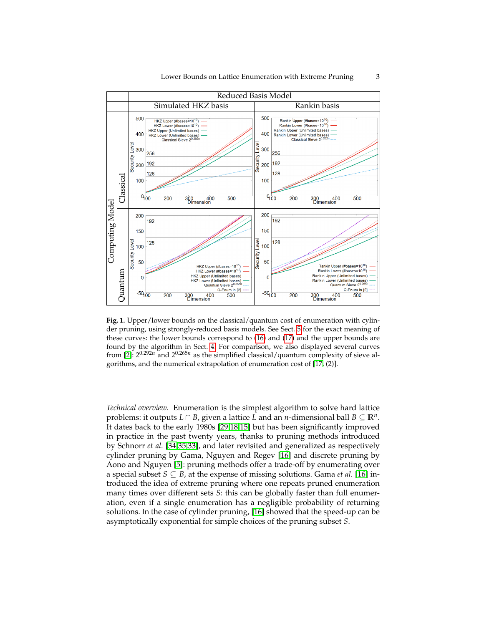

150

100

50

 $\overline{0}$ 

 $-50^{100}$ 

200

128

Rankin Upper (#bases=10<sup>10</sup>)<br>Rankin Lower (#bases=10<sup>10</sup>)<br>Rankin Upper (Unlimited bases)

Rankin Lower (Unlimited bases)<br>Quantum Sieve 2<sup>0,265n</sup><br>Q-Enum in [2]

500

300 400<br>Dimension

Level

Security

<span id="page-2-0"></span>**Fig. 1.** Upper/lower bounds on the classical/quantum cost of enumeration with cylinder pruning, using strongly-reduced basis models. See Sect. [5](#page-19-0) for the exact meaning of these curves: the lower bounds correspond to [\(16\)](#page-22-0) and [\(17\)](#page-22-1) and the upper bounds are found by the algorithm in Sect. [4.](#page-15-0) For comparison, we also displayed several curves from [\[2\]](#page-24-0):  $2^{0.292n}$  and  $2^{0.265n}$  as the simplified classical/quantum complexity of sieve algorithms, and the numerical extrapolation of enumeration cost of [\[17,](#page-25-9) (2)].

HKZ Upper (#bases=10<sup>10</sup>)<br>HKZ Lower (#bases=10<sup>10</sup>)

HKZ Upper (Unlimited bases)

HKZ Lower (Unlimited bases)<br>Quantum Sieve 2<sup>0.265n</sup>

300 400<br>Dimension

Q-Enum in [2]

500

Quantum

150

100

50

 $\overline{0}$ 

 $-50,000$ 

 $200$ 

128

*Technical overview.* Enumeration is the simplest algorithm to solve hard lattice problems: it outputs *L* ∩ *B*, given a lattice *L* and an *n*-dimensional ball *B* ⊆ **R***<sup>n</sup>* . It dates back to the early 1980s [\[29,](#page-26-6)[18,](#page-25-10)[15\]](#page-25-11) but has been significantly improved in practice in the past twenty years, thanks to pruning methods introduced by Schnorr *et al.* [\[34](#page-26-0)[,35](#page-26-1)[,33\]](#page-26-7), and later revisited and generalized as respectively cylinder pruning by Gama, Nguyen and Regev [\[16\]](#page-25-3) and discrete pruning by Aono and Nguyen [\[5\]](#page-25-12): pruning methods offer a trade-off by enumerating over a special subset  $S \subseteq B$ , at the expense of missing solutions. Gama *et al.* [\[16\]](#page-25-3) introduced the idea of extreme pruning where one repeats pruned enumeration many times over different sets *S*: this can be globally faster than full enumeration, even if a single enumeration has a negligible probability of returning solutions. In the case of cylinder pruning, [\[16\]](#page-25-3) showed that the speed-up can be asymptotically exponential for simple choices of the pruning subset *S*.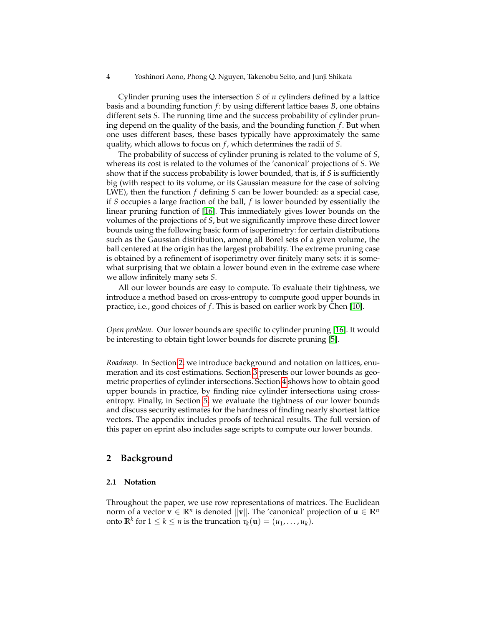4 Yoshinori Aono, Phong Q. Nguyen, Takenobu Seito, and Junji Shikata

Cylinder pruning uses the intersection *S* of *n* cylinders defined by a lattice basis and a bounding function *f* : by using different lattice bases *B*, one obtains different sets *S*. The running time and the success probability of cylinder pruning depend on the quality of the basis, and the bounding function *f* . But when one uses different bases, these bases typically have approximately the same quality, which allows to focus on *f* , which determines the radii of *S*.

The probability of success of cylinder pruning is related to the volume of *S*, whereas its cost is related to the volumes of the 'canonical' projections of *S*. We show that if the success probability is lower bounded, that is, if *S* is sufficiently big (with respect to its volume, or its Gaussian measure for the case of solving LWE), then the function *f* defining *S* can be lower bounded: as a special case, if *S* occupies a large fraction of the ball, *f* is lower bounded by essentially the linear pruning function of [\[16\]](#page-25-3). This immediately gives lower bounds on the volumes of the projections of *S*, but we significantly improve these direct lower bounds using the following basic form of isoperimetry: for certain distributions such as the Gaussian distribution, among all Borel sets of a given volume, the ball centered at the origin has the largest probability. The extreme pruning case is obtained by a refinement of isoperimetry over finitely many sets: it is somewhat surprising that we obtain a lower bound even in the extreme case where we allow infinitely many sets *S*.

All our lower bounds are easy to compute. To evaluate their tightness, we introduce a method based on cross-entropy to compute good upper bounds in practice, i.e., good choices of *f* . This is based on earlier work by Chen [\[10\]](#page-25-7).

*Open problem.* Our lower bounds are specific to cylinder pruning [\[16\]](#page-25-3). It would be interesting to obtain tight lower bounds for discrete pruning [\[5\]](#page-25-12).

*Roadmap.* In Section [2,](#page-3-0) we introduce background and notation on lattices, enumeration and its cost estimations. Section [3](#page-7-0) presents our lower bounds as geometric properties of cylinder intersections. Section [4](#page-15-0) shows how to obtain good upper bounds in practice, by finding nice cylinder intersections using crossentropy. Finally, in Section [5,](#page-19-0) we evaluate the tightness of our lower bounds and discuss security estimates for the hardness of finding nearly shortest lattice vectors. The appendix includes proofs of technical results. The full version of this paper on eprint also includes sage scripts to compute our lower bounds.

# <span id="page-3-0"></span>**2 Background**

# **2.1 Notation**

Throughout the paper, we use row representations of matrices. The Euclidean norm of a vector  $\mathbf{v} \in \mathbb{R}^n$  is denoted  $\|\mathbf{v}\|$ . The 'canonical' projection of  $\mathbf{u} \in \mathbb{R}^n$ onto  $\mathbb{R}^k$  for  $1 \leq k \leq n$  is the truncation  $\tau_k(\mathbf{u}) = (u_1, \dots, u_k)$ .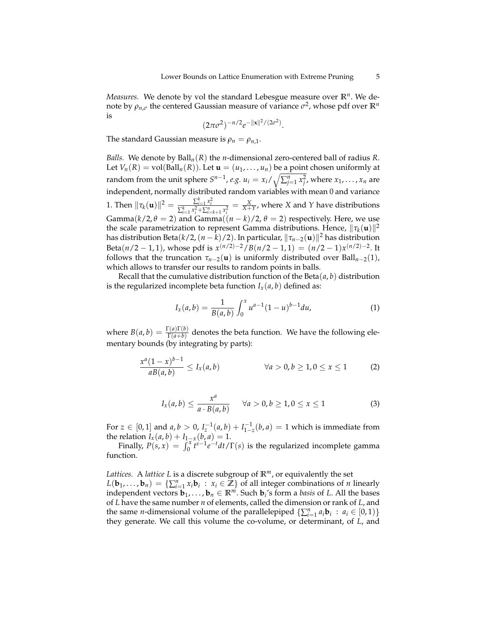*Measures.* We denote by vol the standard Lebesgue measure over **R***<sup>n</sup>* . We denote by  $\rho_{n,\sigma}$  the centered Gaussian measure of variance  $\sigma^2$ , whose pdf over  $\mathbb{R}^n$ is

$$
(2\pi\sigma^2)^{-n/2}e^{-\|\mathbf{x}\|^2/(2\sigma^2)}.
$$

The standard Gaussian measure is  $\rho_n = \rho_{n,1}$ .

*Balls.* We denote by Ball*n*(*R*) the *n*-dimensional zero-centered ball of radius *R*. Let  $V_n(R) = \text{vol}(Ball_n(R))$ . Let  $\mathbf{u} = (u_1, \dots, u_n)$  be a point chosen uniformly at random from the unit sphere  $S^{n-1}$ , *e.g.*  $u_i = x_i / \sqrt{\sum_{j=1}^n x_j^2}$ , where  $x_1, \ldots, x_n$  are independent, normally distributed random variables with mean 0 and variance 1. Then  $\|\tau_k(\mathbf{u})\|^2 = \frac{\sum_{i=1}^k x_i^2}{\sum_{i=1}^k x_i^2 + \sum_{i=k+1}^n x_i^2} = \frac{X}{X+Y}$ , where X and Y have distributions Gamma( $k/2$ ,  $\theta = 2$ ) and Gamma( $(n - k)/2$ ,  $\theta = 2$ ) respectively. Here, we use the scale parametrization to represent Gamma distributions. Hence,  $\|\tau_k(\mathbf{u})\|^2$ has distribution Beta $(k/2,(n-\bar{k})/2)$ . In particular,  $\|\tau_{n-2}({\textbf{u}})\|^2$  has distribution Beta $(n/2 - 1, 1)$ , whose pdf is  $x^{(n/2)-2}/B(n/2 - 1, 1) = (n/2 - 1)x^{(n/2)-2}$ . It follows that the truncation  $\tau_{n-2}(\mathbf{u})$  is uniformly distributed over Ball<sub>*n*−2</sub>(1), which allows to transfer our results to random points in balls.

Recall that the cumulative distribution function of the Beta(*a*, *b*) distribution is the regularized incomplete beta function  $I_x(a, b)$  defined as:

<span id="page-4-1"></span>
$$
I_x(a,b) = \frac{1}{B(a,b)} \int_0^x u^{a-1} (1-u)^{b-1} du,
$$
 (1)

where  $B(a, b) = \frac{\Gamma(a)\Gamma(b)}{\Gamma(a+b)}$  denotes the beta function. We have the following elementary bounds (by integrating by parts):

$$
\frac{x^a(1-x)^{b-1}}{aB(a,b)} \le I_x(a,b) \qquad \forall a > 0, b \ge 1, 0 \le x \le 1 \qquad (2)
$$

<span id="page-4-0"></span>
$$
I_x(a,b) \le \frac{x^a}{a \cdot B(a,b)} \qquad \forall a > 0, b \ge 1, 0 \le x \le 1 \tag{3}
$$

For  $z \in [0, 1]$  and  $a, b > 0$ ,  $I_z^{-1}(a, b) + I_{1-z}^{-1}(b, a) = 1$  which is immediate from the relation  $I_x(a, b) + I_{1-x}(b, a) = 1$ .

Finally,  $P(s, x) = \int_0^x t^{s-1} e^{-t} dt / \Gamma(s)$  is the regularized incomplete gamma function.

*Lattices.* A *lattice L* is a discrete subgroup of **R***m*, or equivalently the set  $L(\mathbf{b}_1, ..., \mathbf{b}_n) = \{\sum_{i=1}^n x_i \mathbf{b}_i : x_i \in \mathbb{Z}\}$  of all integer combinations of *n* linearly independent vectors  $\mathbf{b}_1, \ldots, \mathbf{b}_n \in \mathbb{R}^m$ . Such  $\mathbf{b}_i$ 's form a *basis* of *L*. All the bases of *L* have the same number *n* of elements, called the dimension or rank of *L*, and the same *n*-dimensional volume of the parallelepiped  $\{\sum_{i=1}^{n} a_i \mathbf{b}_i : a_i \in [0,1)\}$ they generate. We call this volume the co-volume, or determinant, of *L*, and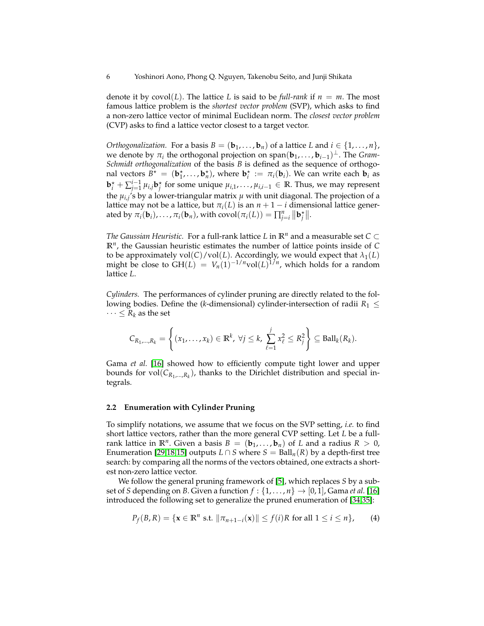denote it by  $covol(L)$ . The lattice L is said to be *full-rank* if  $n = m$ . The most famous lattice problem is the *shortest vector problem* (SVP), which asks to find a non-zero lattice vector of minimal Euclidean norm. The *closest vector problem* (CVP) asks to find a lattice vector closest to a target vector.

*Orthogonalization.* For a basis  $B = (\mathbf{b}_1, \dots, \mathbf{b}_n)$  of a lattice *L* and  $i \in \{1, \dots, n\}$ , we denote by  $\pi_i$  the orthogonal projection on span $(\mathbf{b}_1, \ldots, \mathbf{b}_{i-1})^{\perp}$ . The *Gram*-*Schmidt orthogonalization* of the basis *B* is defined as the sequence of orthogonal vectors  $B^* = (\mathbf{b}_1^*, \dots, \mathbf{b}_n^*)$ , where  $\mathbf{b}_i^* := \pi_i(\mathbf{b}_i)$ . We can write each  $\mathbf{b}_i$  as  $\mathbf{b}_i^{\star} + \sum_{j=1}^{i-1} \mu_{i,j} \mathbf{b}_j^{\star}$  for some unique  $\mu_{i,1}, \ldots, \mu_{i,i-1} \in \mathbb{R}$ . Thus, we may represent the *µi*,*<sup>j</sup>* 's by a lower-triangular matrix *µ* with unit diagonal. The projection of a lattice may not be a lattice, but  $\pi_i(L)$  is an  $n + 1 - i$  dimensional lattice generated by  $\pi_i(\mathbf{b}_i), \ldots, \pi_i(\mathbf{b}_n)$ , with  $\text{covol}(\pi_i(L)) = \prod_{j=i}^n ||\mathbf{b}_j^*||$ .

*The Gaussian Heuristic.* For a full-rank lattice *L* in  $\mathbb{R}^n$  and a measurable set  $C \subset$ **R***<sup>n</sup>* , the Gaussian heuristic estimates the number of lattice points inside of *C* to be approximately  $vol(C)/vol(L)$ . Accordingly, we would expect that  $\lambda_1(L)$ might be close to  $GH(L) = V_n(1)^{-1/n}vol(L)^{1/n}$ , which holds for a random lattice *L*.

*Cylinders.* The performances of cylinder pruning are directly related to the following bodies. Define the (*k*-dimensional) cylinder-intersection of radii  $R_1 \leq$  $\cdots \leq R_k$  as the set

$$
C_{R_1,\ldots,R_k} = \left\{ (x_1,\ldots,x_k) \in \mathbb{R}^k, \ \forall j \leq k, \ \sum_{\ell=1}^j x_{\ell}^2 \leq R_j^2 \right\} \subseteq \text{Ball}_k(R_k).
$$

Gama *et al.* [\[16\]](#page-25-3) showed how to efficiently compute tight lower and upper bounds for  $vol(C_{R_1,...,R_k})$ , thanks to the Dirichlet distribution and special integrals.

### **2.2 Enumeration with Cylinder Pruning**

To simplify notations, we assume that we focus on the SVP setting, *i.e.* to find short lattice vectors, rather than the more general CVP setting. Let *L* be a fullrank lattice in  $\mathbb{R}^n$ . Given a basis  $B = (\mathbf{b}_1, \ldots, \mathbf{b}_n)$  of *L* and a radius  $R > 0$ , Enumeration [\[29,](#page-26-6)[18](#page-25-10)[,15\]](#page-25-11) outputs  $L \cap S$  where  $S = \text{Ball}_n(R)$  by a depth-first tree search: by comparing all the norms of the vectors obtained, one extracts a shortest non-zero lattice vector.

We follow the general pruning framework of [\[5\]](#page-25-12), which replaces *S* by a subset of *S* depending on *B*. Given a function  $f : \{1, \ldots, n\} \rightarrow [0, 1]$ , Gama *et al.* [\[16\]](#page-25-3) introduced the following set to generalize the pruned enumeration of [\[34,](#page-26-0)[35\]](#page-26-1):

$$
P_f(B, R) = \{ \mathbf{x} \in \mathbb{R}^n \text{ s.t. } ||\pi_{n+1-i}(\mathbf{x})|| \le f(i)R \text{ for all } 1 \le i \le n \},\qquad(4)
$$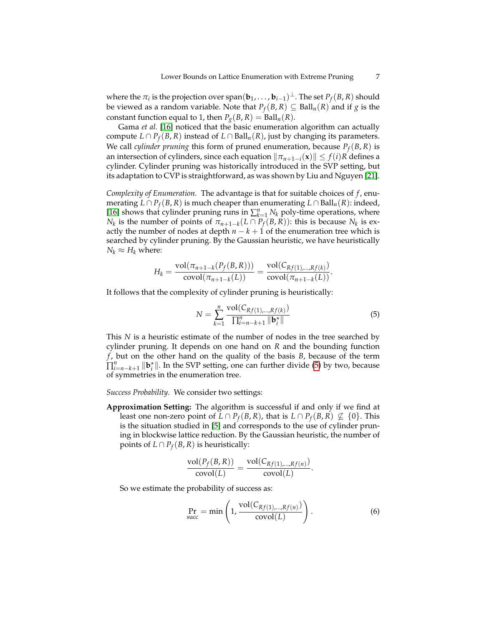where the  $\pi_i$  is the projection over  $\text{span}(\mathbf{b}_1,\ldots,\mathbf{b}_{i-1})^{\perp}.$  The set  $P_f(B,R)$  should be viewed as a random variable. Note that  $P_f(B,R) ⊆ \text{Ball}_n(R)$  and if *g* is the constant function equal to 1, then  $P_g(B, R) = \text{Ball}_n(R)$ .

Gama *et al.* [\[16\]](#page-25-3) noticed that the basic enumeration algorithm can actually compute  $L \cap P_f(B, R)$  instead of  $L \cap Ball_n(R)$ , just by changing its parameters. We call *cylinder pruning* this form of pruned enumeration, because *P<sup>f</sup>* (*B*, *R*) is an intersection of cylinders, since each equation  $\|\pi_{n+1-i}(\mathbf{x})\| \leq f(i)R$  defines a cylinder. Cylinder pruning was historically introduced in the SVP setting, but its adaptation to CVP is straightforward, as was shown by Liu and Nguyen [\[21\]](#page-25-13).

*Complexity of Enumeration.* The advantage is that for suitable choices of *f* , enumerating *L* ∩ *P*<sub>*f*</sub>(*B*, *R*) is much cheaper than enumerating *L* ∩ Ball<sub>*n*</sub>(*R*): indeed, [\[16\]](#page-25-3) shows that cylinder pruning runs in  $\sum_{k=1}^{n} N_k$  poly-time operations, where *N<sub>k</sub>* is the number of points of  $\pi_{n+1-k}(L \cap P_f(B,R))$ : this is because *N<sub>k</sub>* is exactly the number of nodes at depth  $n - k + 1$  of the enumeration tree which is searched by cylinder pruning. By the Gaussian heuristic, we have heuristically  $N_k \approx H_k$  where:

$$
H_k = \frac{\text{vol}(\pi_{n+1-k}(P_f(B,R)))}{\text{covol}(\pi_{n+1-k}(L))} = \frac{\text{vol}(C_{Rf(1),...,Rf(k)})}{\text{covol}(\pi_{n+1-k}(L))}.
$$

It follows that the complexity of cylinder pruning is heuristically:

<span id="page-6-0"></span>
$$
N = \sum_{k=1}^{n} \frac{\text{vol}(C_{Rf(1),...,Rf(k)})}{\prod_{i=n-k+1}^{n} ||\mathbf{b}_{i}^{*}||}
$$
(5)

This *N* is a heuristic estimate of the number of nodes in the tree searched by cylinder pruning. It depends on one hand on *R* and the bounding function *f* , but on the other hand on the quality of the basis *B*, because of the term  $\prod_{i=n-k+1}^{n}$   $\|\mathbf{b}_{i}^{*}\|$ . In the SVP setting, one can further divide [\(5\)](#page-6-0) by two, because of symmetries in the enumeration tree.

*Success Probability.* We consider two settings:

**Approximation Setting:** The algorithm is successful if and only if we find at least one non-zero point of  $L \cap P_f(B,R)$ , that is  $L \cap P_f(B,R) \nsubseteq \{0\}$ . This is the situation studied in [\[5\]](#page-25-12) and corresponds to the use of cylinder pruning in blockwise lattice reduction. By the Gaussian heuristic, the number of points of  $L \cap P_f(B,R)$  is heuristically:

$$
\frac{\text{vol}(P_f(B,R))}{\text{covol}(L)} = \frac{\text{vol}(C_{Rf(1),...,Rf(n)})}{\text{covol}(L)}.
$$

So we estimate the probability of success as:

<span id="page-6-1"></span>
$$
\Pr_{\text{succ}} = \min\left(1, \frac{\text{vol}(C_{Rf(1),...,Rf(n)})}{\text{covol}(L)}\right). \tag{6}
$$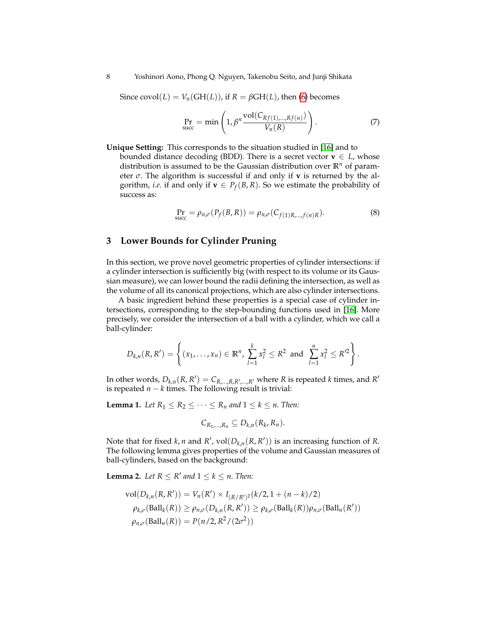Since  $covol(L) = V_n(GH(L))$ , if  $R = \beta GH(L)$ , then [\(6\)](#page-6-1) becomes

<span id="page-7-3"></span>
$$
\Pr_{\text{succ}} = \min\left(1, \beta^n \frac{\text{vol}(C_{Rf(1),...,Rf(n)})}{V_n(R)}\right). \tag{7}
$$

**Unique Setting:** This corresponds to the situation studied in [\[16\]](#page-25-3) and to bounded distance decoding (BDD). There is a secret vector  $\mathbf{v} \in L$ , whose distribution is assumed to be the Gaussian distribution over **R***<sup>n</sup>* of parameter *σ*. The algorithm is successful if and only if **v** is returned by the algorithm, *i.e.* if and only if  $\mathbf{v} \in P_f(B,R)$ . So we estimate the probability of success as:

<span id="page-7-4"></span>
$$
\Pr_{\text{succ}} = \rho_{n,\sigma}(P_f(B,R)) = \rho_{n,\sigma}(C_{f(1)R,\dots,f(n)R}).\tag{8}
$$

# <span id="page-7-0"></span>**3 Lower Bounds for Cylinder Pruning**

In this section, we prove novel geometric properties of cylinder intersections: if a cylinder intersection is sufficiently big (with respect to its volume or its Gaussian measure), we can lower bound the radii defining the intersection, as well as the volume of all its canonical projections, which are also cylinder intersections.

A basic ingredient behind these properties is a special case of cylinder intersections, corresponding to the step-bounding functions used in [\[16\]](#page-25-3). More precisely, we consider the intersection of a ball with a cylinder, which we call a ball-cylinder:

$$
D_{k,n}(R,R')=\left\{(x_1,\ldots,x_n)\in\mathbb{R}^n,\ \sum_{l=1}^k x_l^2\leq R^2\ \text{ and }\ \sum_{l=1}^n x_l^2\leq R'^2\right\}.
$$

In other words,  $D_{k,n}(R, R') = C_{R,\dots,R,R',\dots,R'}$  where *R* is repeated *k* times, and *R*<sup>*l*</sup> is repeated  $n - k$  times. The following result is trivial:

**Lemma 1.** *Let*  $R_1 \leq R_2 \leq \cdots \leq R_n$  *and*  $1 \leq k \leq n$ *. Then:* 

<span id="page-7-2"></span><span id="page-7-1"></span>
$$
C_{R_1,\ldots,R_n}\subseteq D_{k,n}(R_k,R_n).
$$

Note that for fixed *k*, *n* and *R'*,  $vol(D_{k,n}(R, R'))$  is an increasing function of *R*. The following lemma gives properties of the volume and Gaussian measures of ball-cylinders, based on the background:

**Lemma 2.** Let  $R \leq R'$  and  $1 \leq k \leq n$ . Then:

$$
\text{vol}(D_{k,n}(R,R')) = V_n(R') \times I_{(R/R')^2}(k/2, 1 + (n-k)/2)
$$
  
\n
$$
\rho_{k,\sigma}(\text{Ball}_k(R)) \ge \rho_{n,\sigma}(D_{k,n}(R,R')) \ge \rho_{k,\sigma}(\text{Ball}_k(R))\rho_{n,\sigma}(\text{Ball}_n(R'))
$$
  
\n
$$
\rho_{n,\sigma}(\text{Ball}_n(R)) = P(n/2, R^2/(2\sigma^2))
$$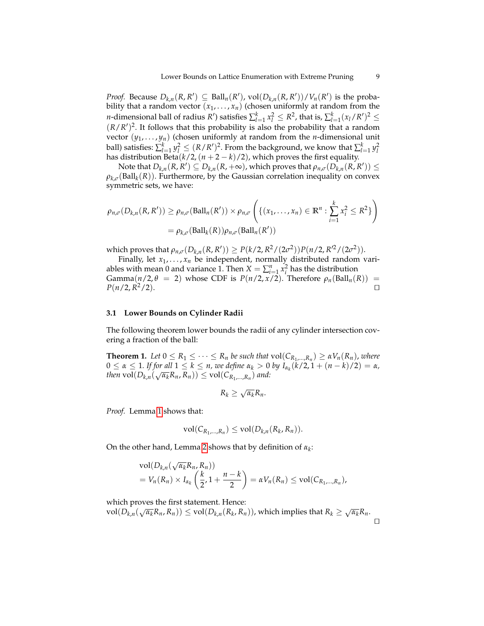*Proof.* Because  $D_{k,n}(R, R') \subseteq \text{Ball}_n(R')$ ,  $\text{vol}(D_{k,n}(R, R')) / V_n(R')$  is the probability that a random vector  $(x_1, \ldots, x_n)$  (chosen uniformly at random from the *n*-dimensional ball of radius *R*<sup>'</sup>) satisfies  $\sum_{l=1}^{k} x_l^2 \leq R^2$ , that is,  $\sum_{l=1}^{k} (x_l/R')^2 \leq$  $(R/R')^2$ . It follows that this probability is also the probability that a random vector  $(y_1, \ldots, y_n)$  (chosen uniformly at random from the *n*-dimensional unit ball) satisfies:  $\sum_{l=1}^{k} y_l^2 \leq (R/R')^2$ . From the background, we know that  $\sum_{l=1}^{k} y_l^2$ has distribution Beta( $k/2$ ,  $(n+2-k)/2$ ), which proves the first equality.

 $\mathrm{Note~that~}D_{k,n}(R,R')\subseteq D_{k,n}(R,+\infty)$ , which proves that  $\rho_{n,\sigma}(D_{k,n}^-(R,R'))\leq 0$  $\rho_{k,\sigma}(\text{Ball}_k(R))$ . Furthermore, by the Gaussian correlation inequality on convex symmetric sets, we have:

$$
\rho_{n,\sigma}(D_{k,n}(R,R')) \ge \rho_{n,\sigma}(\text{Ball}_n(R')) \times \rho_{n,\sigma}\left(\{(x_1,\ldots,x_n) \in \mathbb{R}^n : \sum_{i=1}^k x_i^2 \le R^2\}\right)
$$
  
=  $\rho_{k,\sigma}(\text{Ball}_k(R))\rho_{n,\sigma}(\text{Ball}_n(R'))$ 

 $P(k/2, R^2/(2\sigma^2))P(n/2, R^2/(2\sigma^2)).$ <br>  $P(k/2, R^2/(2\sigma^2))P(n/2, R^2/(2\sigma^2)).$ 

Finally, let  $x_1, \ldots, x_n$  be independent, normally distributed random variables with mean 0 and variance 1. Then  $X = \sum_{i=1}^{n} x_i^2$  has the distribution Gamma( $n/2$ ,  $\theta$  = 2) whose CDF is  $P(n/2, x/2)$ . Therefore  $\rho_n(\text{Ball}_n(R))$  =  $P(n/2, R^2/2)$ .  $^{2}/2$ ).

# **3.1 Lower Bounds on Cylinder Radii**

The following theorem lower bounds the radii of any cylinder intersection covering a fraction of the ball:

**Theorem 1.** *Let*  $0 \le R_1 \le \cdots \le R_n$  *be such that*  $vol(C_{R_1,\ldots,R_n}) \ge \alpha V_n(R_n)$ , *where*  $0 \le \alpha \le 1$ . If for all  $1 \le k \le n$ , we define  $\alpha_k > 0$  by  $I_{\alpha_k}(k/2, 1 + (n-k)/2) = \alpha$ ,  $\mathcal{A}(R_n) \cup \{D_{k,n}(\sqrt{\alpha_k}R_n, R_n)) \leq \text{vol}(C_{R_1,\ldots,R_n})$  and:

<span id="page-8-0"></span>
$$
R_k \geq \sqrt{\alpha_k} R_n.
$$

*Proof.* Lemma [1](#page-7-1) shows that:

$$
\text{vol}(C_{R_1,\ldots,R_n}) \leq \text{vol}(D_{k,n}(R_k,R_n)).
$$

On the other hand, Lemma [2](#page-7-2) shows that by definition of *α<sup>k</sup>* :

$$
\operatorname{vol}(D_{k,n}(\sqrt{\alpha_k}R_n, R_n))
$$
  
=  $V_n(R_n) \times I_{\alpha_k} \left(\frac{k}{2}, 1 + \frac{n-k}{2}\right) = \alpha V_n(R_n) \le \operatorname{vol}(C_{R_1,\ldots,R_n}),$ 

which proves the first statement. Hence:

which proves the first statement. Tence.<br>vol $(D_{k,n}(\sqrt{\alpha_k}R_n, R_n)) \le \text{vol}(D_{k,n}(R_k, R_n))$ , which implies that  $R_k \ge \sqrt{\alpha_k}R_n$ .  $\Box$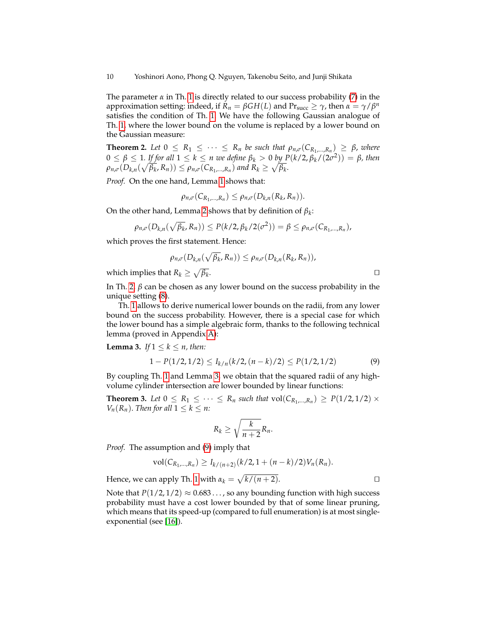10 Yoshinori Aono, Phong Q. Nguyen, Takenobu Seito, and Junji Shikata

The parameter *α* in Th. [1](#page-8-0) is directly related to our success probability [\(7\)](#page-7-3) in the approximation setting: indeed, if  $R_n = \beta GH(L)$  and  $Pr_{succ} \geq \gamma$ , then  $\alpha = \gamma/\beta^n$ satisfies the condition of Th. [1.](#page-8-0) We have the following Gaussian analogue of Th. [1,](#page-8-0) where the lower bound on the volume is replaced by a lower bound on the Gaussian measure:

**Theorem 2.** Let  $0 \le R_1 \le \cdots \le R_n$  be such that  $\rho_{n,\sigma}(C_{R_1,\ldots,R_n}) \ge \beta$ , where  $0 \leq \beta \leq 1$ *. If for all*  $1 \leq k \leq n$  we define  $\beta_k > 0$  by  $P(k/2, \beta_k/(2\sigma^2)) = \beta$ *, then*  $\rho_{n,\sigma}(D_{k,n}(\sqrt{\beta_k}, R_n)) \leq \rho_{n,\sigma}(C_{R_1,\dots,R_n})$  and  $R_k \geq \sqrt{\beta_k}.$ 

*Proof.* On the one hand, Lemma [1](#page-7-1) shows that:

<span id="page-9-0"></span>
$$
\rho_{n,\sigma}(C_{R_1,\ldots,R_n}) \leq \rho_{n,\sigma}(D_{k,n}(R_k,R_n)).
$$

On the other hand, Lemma [2](#page-7-2) shows that by definition of *β<sup>k</sup>* :

$$
\rho_{n,\sigma}(D_{k,n}(\sqrt{\beta_k},R_n)) \leq P(k/2,\beta_k/2(\sigma^2)) = \beta \leq \rho_{n,\sigma}(C_{R_1,\ldots,R_n}),
$$

which proves the first statement. Hence:

$$
\rho_{n,\sigma}(D_{k,n}(\sqrt{\beta_k}, R_n)) \leq \rho_{n,\sigma}(D_{k,n}(R_k, R_n)),
$$
  
at  $R_k \geq \sqrt{\beta_k}$ .

which implies that  $R_k \geq \sqrt{\beta_k}$ 

In Th. [2,](#page-9-0)  $β$  can be chosen as any lower bound on the success probability in the unique setting [\(8\)](#page-7-4).

Th. [1](#page-8-0) allows to derive numerical lower bounds on the radii, from any lower bound on the success probability. However, there is a special case for which the lower bound has a simple algebraic form, thanks to the following technical lemma (proved in Appendix [A\)](#page-26-8):

**Lemma 3.** *If*  $1 \leq k \leq n$ *, then:* 

<span id="page-9-1"></span>
$$
1 - P(1/2, 1/2) \le I_{k/n}(k/2, (n-k)/2) \le P(1/2, 1/2) \tag{9}
$$

By coupling Th. [1](#page-8-0) and Lemma [3,](#page-9-1) we obtain that the squared radii of any highvolume cylinder intersection are lower bounded by linear functions:

**Theorem 3.** Let  $0 \le R_1 \le \cdots \le R_n$  such that  $vol(C_{R_1,\ldots,R_n}) \ge P(1/2,1/2) \times$ *V*<sup>n</sup>( $R_n$ ). *Then for all*  $1 \leq k \leq n$ *:* 

<span id="page-9-2"></span>
$$
R_k \geq \sqrt{\frac{k}{n+2}} R_n.
$$

*Proof.* The assumption and [\(9\)](#page-9-2) imply that

$$
\text{vol}(C_{R_1,\ldots,R_n}) \geq I_{k/(n+2)}(k/2,1+(n-k)/2)V_n(R_n).
$$

Hence, we can apply Th. [1](#page-8-0) with  $\alpha_k = \sqrt{k/(n+2)}$ .

Note that  $P(1/2, 1/2) \approx 0.683 \dots$ , so any bounding function with high success probability must have a cost lower bounded by that of some linear pruning, which means that its speed-up (compared to full enumeration) is at most singleexponential (see [\[16\]](#page-25-3)).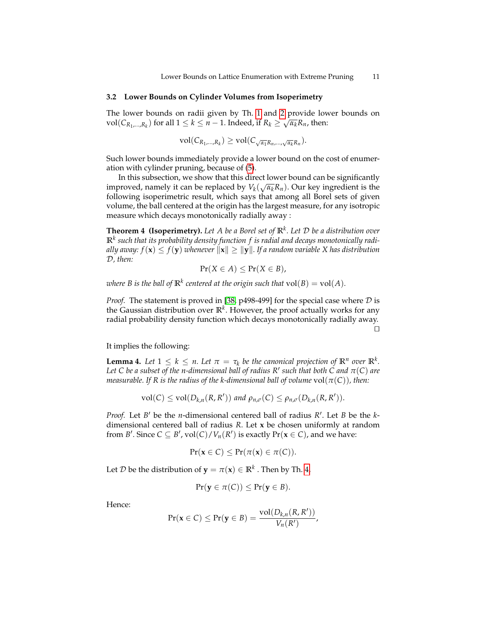### <span id="page-10-2"></span>**3.2 Lower Bounds on Cylinder Volumes from Isoperimetry**

The lower bounds on radii given by Th. [1](#page-8-0) and [2](#page-9-0) provide lower bounds on  $\mathbb{R}^{1}$  of  $\mathbb{R}^{1}$  and  $\mathbb{R}^{1}$  and  $\mathbb{R}^{1}$  and  $\mathbb{R}^{1}$  and  $\mathbb{R}^{1}$  and  $\mathbb{R}^{1}$  and  $\mathbb{R}^{1}$  and  $\mathbb{R}^{1}$  and  $\mathbb{R}$  $vol(C_{R_1,...,R_k})$  for all  $1 \leq k \leq n-1$ . Indeed, if  $R_k \geq \sqrt{\alpha_k}R_n$ , then:

$$
\mathrm{vol}(C_{R_1,\ldots,R_k})\geq \mathrm{vol}(C_{\sqrt{\alpha_1}R_n,\ldots,\sqrt{\alpha_k}R_n}).
$$

Such lower bounds immediately provide a lower bound on the cost of enumeration with cylinder pruning, because of [\(5\)](#page-6-0).

In this subsection, we show that this direct lower bound can be significantly<br>were descended in an harmland local  $V(\sqrt{m}R)$ . Our localization is that improved, namely it can be replaced by  $V_k(\sqrt{\alpha_k}R_n)$ . Our key ingredient is the following isoperimetric result, which says that among all Borel sets of given volume, the ball centered at the origin has the largest measure, for any isotropic measure which decays monotonically radially away :

**Theorem 4 (Isoperimetry).** *Let A be a Borel set of* **R***<sup>k</sup> . Let* D *be a distribution over* **R***<sup>k</sup> such that its probability density function f is radial and decays monotonically radially away:*  $f(\mathbf{x}) \leq f(\mathbf{y})$  *whenever*  $\|\mathbf{x}\| \geq \|\mathbf{y}\|$ *. If a random variable X has distribution* D*, then:*

<span id="page-10-0"></span> $Pr(X \in A) \leq Pr(X \in B)$ ,

 $\mathbf{w}$  *kere B is the ball of*  $\mathbb{R}^k$  *centered at the origin such that*  $\mathrm{vol}(B) = \mathrm{vol}(A)$ *.* 

*Proof.* The statement is proved in [\[38,](#page-26-9) p498-499] for the special case where  $D$  is the Gaussian distribution over **R***<sup>k</sup>* . However, the proof actually works for any radial probability density function which decays monotonically radially away.  $\Box$ 

It implies the following:

**Lemma 4.** Let  $1 \leq k \leq n$ . Let  $\pi = \tau_k$  be the canonical projection of  $\mathbb{R}^n$  over  $\mathbb{R}^k$ . Let C be a subset of the n-dimensional ball of radius R' such that both C and  $\pi(\mathsf{C})$  are *measurable. If R is the radius of the k-dimensional ball of volume*  $vol(\pi(C))$ *, then:* 

<span id="page-10-1"></span>
$$
\text{vol}(C) \leq \text{vol}(D_{k,n}(R,R')) \text{ and } \rho_{n,\sigma}(C) \leq \rho_{n,\sigma}(D_{k,n}(R,R')).
$$

*Proof.* Let *B*<sup> $\prime$ </sup> be the *n*-dimensional centered ball of radius *R*<sup> $\prime$ </sup>. Let *B* be the *k*dimensional centered ball of radius *R*. Let **x** be chosen uniformly at random from *B*<sup> $\prime$ </sup>. Since *C*  $\subseteq$  *B*<sup> $\prime$ </sup>, vol $(C)/V_n(R')$  is exactly Pr(**x**  $\in$  *C*), and we have:

$$
Pr(\mathbf{x} \in C) \leq Pr(\pi(\mathbf{x}) \in \pi(C)).
$$

Let  $\mathcal D$  be the distribution of  $\mathbf y = \pi(\mathbf x) \in \mathbb R^k$  . Then by Th. [4,](#page-10-0)

$$
Pr(\mathbf{y} \in \pi(C)) \leq Pr(\mathbf{y} \in B).
$$

Hence:

$$
Pr(\mathbf{x} \in C) \leq Pr(\mathbf{y} \in B) = \frac{\text{vol}(D_{k,n}(R,R'))}{V_n(R')}
$$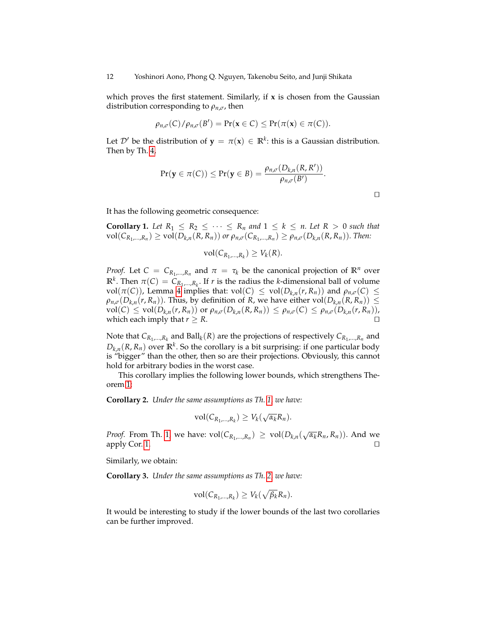which proves the first statement. Similarly, if **x** is chosen from the Gaussian distribution corresponding to  $\rho_{n,\sigma}$ , then

$$
\rho_{n,\sigma}(C)/\rho_{n,\sigma}(B') = \Pr(\mathbf{x} \in C) \leq \Pr(\pi(\mathbf{x}) \in \pi(C)).
$$

Let  $\mathcal{D}'$  be the distribution of  $\mathbf{y} = \pi(\mathbf{x}) \in \mathbb{R}^k$ : this is a Gaussian distribution. Then by Th. [4,](#page-10-0)

$$
Pr(\mathbf{y} \in \pi(C)) \leq Pr(\mathbf{y} \in B) = \frac{\rho_{n,\sigma}(D_{k,n}(R,R'))}{\rho_{n,\sigma}(B')}.
$$

 $\Box$ 

It has the following geometric consequence:

**Corollary 1.** Let  $R_1 \leq R_2 \leq \cdots \leq R_n$  and  $1 \leq k \leq n$ . Let  $R > 0$  such that  $vol(C_{R_1,...,R_n}) \ge vol(D_{k,n}(R,R_n))$  or  $\rho_{n,\sigma}(C_{R_1,...,R_n}) \ge \rho_{n,\sigma}(D_{k,n}(R,R_n)).$  Then:

<span id="page-11-0"></span>
$$
\text{vol}(C_{R_1,\ldots,R_k})\geq V_k(R).
$$

*Proof.* Let  $C = C_{R_1,...,R_n}$  and  $\pi = \tau_k$  be the canonical projection of  $\mathbb{R}^n$  over **R**<sup>*k*</sup>. Then  $\pi(C) = C_{R_1,\dots,R_k}$ . If *r* is the radius the *k*-dimensional ball of volume vol( $\pi(C)$ ), Lemma [4](#page-10-1) implies that: vol( $C$ )  $\leq$  vol( $D_{k,n}(r,R_n)$ ) and  $\rho_{n,\sigma}(C) \leq$  $\rho_{n,\sigma}(D_{k,n}(r,R_n))$ . Thus, by definition of *R*, we have either vol $(D_{k,n}(R,R_n)) \leq$  $vol(C) \le vol(D_{k,n}(r,R_n))$  or  $\rho_{n,\sigma}(D_{k,n}(R,R_n)) \le \rho_{n,\sigma}(C) \le \rho_{n,\sigma}(D_{k,n}(r,R_n))$ , which each imply that *r*  $\geq$  *R*.

Note that  $C_{R_1,\dots,R_k}$  and  $\text{Ball}_k(R)$  are the projections of respectively  $C_{R_1,\dots,R_n}$  and  $D_{k,n}(R, R_n)$  over  $\mathbb{R}^k$ . So the corollary is a bit surprising: if one particular body is "bigger" than the other, then so are their projections. Obviously, this cannot hold for arbitrary bodies in the worst case.

<span id="page-11-1"></span>This corollary implies the following lower bounds, which strengthens Theorem [1:](#page-8-0)

**Corollary 2.** *Under the same assumptions as Th. [1,](#page-8-0) we have:*

$$
vol(C_{R_1,\ldots,R_k}) \geq V_k(\sqrt{\alpha_k}R_n).
$$

*Proof.* From Th. [1,](#page-8-0) we have:  $vol(C_{R_1,...,R_n}) \geq vol(D_{k,n}(\sqrt{\alpha_k}R_n,R_n))$ . And we apply Cor. [1.](#page-11-0)  $\Box$ 

Similarly, we obtain:

**Corollary 3.** *Under the same assumptions as Th. [2,](#page-9-0) we have:*

<span id="page-11-2"></span>
$$
\text{vol}(C_{R_1,\ldots,R_k})\geq V_k(\sqrt{\beta_k}R_n).
$$

It would be interesting to study if the lower bounds of the last two corollaries can be further improved.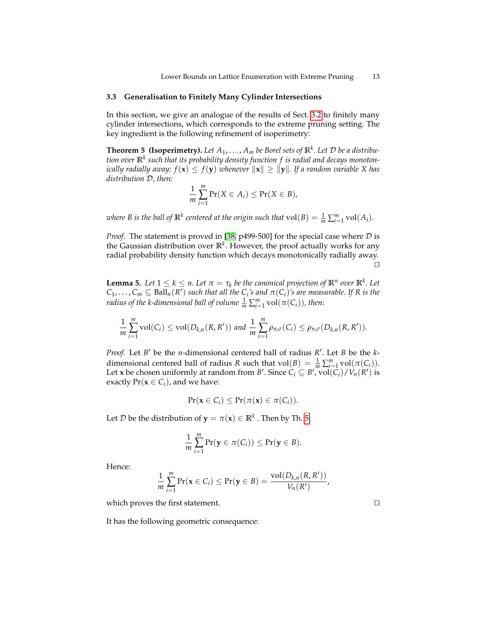## <span id="page-12-3"></span>**3.3 Generalisation to Finitely Many Cylinder Intersections**

In this section, we give an analogue of the results of Sect. [3.2](#page-10-2) to finitely many cylinder intersections, which corresponds to the extreme pruning setting. The key ingredient is the following refinement of isoperimetry:

**Theorem 5 (Isoperimetry).** Let  $A_1, \ldots, A_m$  be Borel sets of  $\mathbb{R}^k$ . Let  $\mathcal D$  be a distribu*tion over* **R***<sup>k</sup> such that its probability density function f is radial and decays monotonically radially away:*  $f(\mathbf{x}) \leq f(\mathbf{y})$  *whenever*  $\|\mathbf{x}\| \geq \|\mathbf{y}\|$ *. If a random variable X has distribution* D*, then:*

<span id="page-12-0"></span>
$$
\frac{1}{m}\sum_{i=1}^m \Pr(X \in A_i) \leq \Pr(X \in B),
$$

*where B is the ball of*  $\mathbb{R}^k$  *centered at the origin such that*  $\mathrm{vol}(B) = \frac{1}{m} \sum_{i=1}^m \mathrm{vol}(A_i)$ *.* 

*Proof.* The statement is proved in [\[38,](#page-26-9) p499-500] for the special case where  $D$  is the Gaussian distribution over **R***<sup>k</sup>* . However, the proof actually works for any radial probability density function which decays monotonically radially away.  $\Box$ 

<span id="page-12-1"></span>**Lemma 5.** Let  $1 \leq k \leq n$ . Let  $\pi = \tau_k$  be the canonical projection of  $\mathbb{R}^n$  over  $\mathbb{R}^k$ . Let  $C_1, \ldots, C_m \subseteq \text{Ball}_n(R')$  *such that all the*  $C_i$ '*s and*  $\pi(C_i)$ '*s are measurable. If* R *is the radius of the k-dimensional ball of volume*  $\frac{1}{m} \sum_{i=1}^{m}$  *vol* $(\pi(C_i))$ *<i>, then*:

$$
\frac{1}{m}\sum_{i=1}^m \mathrm{vol}(C_i) \le \mathrm{vol}(D_{k,n}(R,R')) \text{ and } \frac{1}{m}\sum_{i=1}^m \rho_{n,\sigma}(C_i) \le \rho_{n,\sigma}(D_{k,n}(R,R')).
$$

*Proof.* Let *B*<sup>*'*</sup> be the *n*-dimensional centered ball of radius *R'*. Let *B* be the *k*dimensional centered ball of radius *R* such that  $vol(B) = \frac{1}{m} \sum_{i=1}^{m} vol(\pi(C_i)).$ Let **x** be chosen uniformly at random from *B*'. Since  $C_i \subseteq B'$ ,  $vol(C_i)/V_n(R')$  is exactly  $Pr(\mathbf{x} \in C_i)$ , and we have:

$$
Pr(\mathbf{x} \in C_i) \leq Pr(\pi(\mathbf{x}) \in \pi(C_i)).
$$

Let  $\mathcal{D}$  be the distribution of  $\mathbf{y} = \pi(\mathbf{x}) \in \mathbb{R}^k$  . Then by Th. [5,](#page-12-0)

<span id="page-12-2"></span>
$$
\frac{1}{m}\sum_{i=1}^m \Pr(\mathbf{y} \in \pi(C_i)) \leq \Pr(\mathbf{y} \in B).
$$

Hence:

$$
\frac{1}{m}\sum_{i=1}^m \Pr(\mathbf{x} \in C_i) \leq \Pr(\mathbf{y} \in B) = \frac{\text{vol}(D_{k,n}(R,R'))}{V_n(R')}
$$

which proves the first statement.  $\Box$ 

It has the following geometric consequence: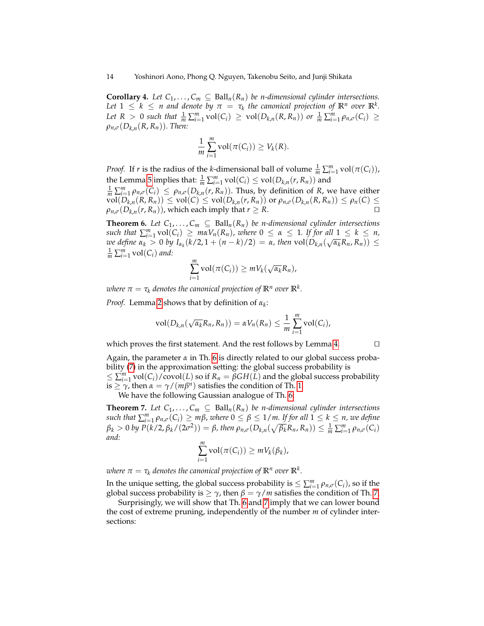**Corollary 4.** Let  $C_1, \ldots, C_m \subseteq \text{Ball}_n(R_n)$  be *n*-dimensional cylinder intersections. *Let*  $1 \leq k \leq n$  and denote by  $\pi = \tau_k$  the canonical projection of  $\mathbb{R}^n$  over  $\mathbb{R}^k$ . Let  $R > 0$  such that  $\frac{1}{m} \sum_{i=1}^{m} \text{vol}(C_i) \ge \text{vol}(D_{k,n}(R, R_n))$  or  $\frac{1}{m} \sum_{i=1}^{m} \rho_{n,\sigma}(C_i) \ge$  $\rho_{n,\sigma}(D_{k,n}(R,R_n))$ *. Then:* 

$$
\frac{1}{m}\sum_{i=1}^m \text{vol}(\pi(C_i)) \ge V_k(R).
$$

*Proof.* If *r* is the radius of the *k*-dimensional ball of volume  $\frac{1}{m} \sum_{i=1}^{m} \text{vol}(\pi(C_i))$ , the Lemma [5](#page-12-1) implies that:  $\frac{1}{m} \sum_{i=1}^{m} \mathrm{vol}(C_i) \leq \mathrm{vol}(D_{k,n}(r, R_n))$  and  $\frac{1}{m} \sum_{i=1}^{m} \rho_{n,\sigma}(C_i) \leq \rho_{n,\sigma}(D_{k,n}(r,R_n))$ . Thus, by definition of *R*, we have either

 $vol(D_{k,n}(R, R_n)) \leq vol(C) \leq vol(D_{k,n}(r, R_n))$  or  $\rho_{n,\sigma}(D_{k,n}(R, R_n)) \leq \rho_n(C) \leq$  $\rho_{n,\sigma}(D_{k,n}(r,R_n))$ , which each imply that  $r \geq R$ .

<span id="page-13-0"></span>**Theorem 6.** Let  $C_1, \ldots, C_m \subseteq \text{Ball}_n(R_n)$  be *n*-dimensional cylinder intersections *such that*  $\sum_{i=1}^{m}$   $vol(C_i) \geq m \alpha V_n(R_n)$ , *where*  $0 \leq \alpha \leq 1$ *. If for all*  $1 \leq k \leq n$ , *we define*  $α_k > 0$  *by*  $I_{α_k}(k/2, 1 + (n - k)/2) = α$ , then  $vol(D_{k,n}(\sqrt{α_k}R_n, R_n)) ≤$  $\frac{1}{m} \sum_{i=1}^{m} \mathrm{vol}(C_i)$  and:

$$
\sum_{i=1}^m \mathrm{vol}(\pi(C_i)) \geq m V_k(\sqrt{\alpha_k} R_n),
$$

 $\tau$  *where*  $\pi = \tau_k$  *denotes the canonical projection of*  $\mathbb{R}^n$  *over*  $\mathbb{R}^k$ *.* 

*Proof.* Lemma [2](#page-7-2) shows that by definition of *α<sup>k</sup>* :

$$
vol(D_{k,n}(\sqrt{\alpha_k}R_n, R_n)) = \alpha V_n(R_n) \leq \frac{1}{m} \sum_{i=1}^m vol(C_i),
$$

which proves the first statement. And the rest follows by Lemma [4.](#page-12-2)  $\Box$ 

Again, the parameter *α* in Th. [6](#page-13-0) is directly related to our global success probability [\(7\)](#page-7-3) in the approximation setting: the global success probability is  $\leq \sum_{i=1}^{m} \text{vol}(C_i)/\text{covol}(L)$  so if  $R_n = \beta GH(L)$  and the global success probability is  $\geq \gamma$ , then  $\alpha = \gamma/(m\beta^n)$  satisfies the condition of Th. [1.](#page-8-0)

We have the following Gaussian analogue of Th. [6:](#page-13-0)

**Theorem 7.** Let  $C_1, \ldots, C_m \subseteq \text{Ball}_n(R_n)$  be *n*-dimensional cylinder intersections  $\mathcal{L}$  *such that*  $\sum_{i=1}^{m} \rho_{n,\sigma}(C_i) \geq m\beta$ , where  $0 \leq \beta \leq 1/m$ . If for all  $1 \leq k \leq n$ , we define  $\beta_k > 0$  by  $P(k/2, \beta_k/(2\sigma^2)) = \beta$ , then  $\rho_{n,\sigma}(D_{k,n}(\sqrt{\beta_k}R_n, R_n)) \leq \frac{1}{m} \sum_{i=1}^m \rho_{n,\sigma}(C_i)$ *and:*

<span id="page-13-1"></span>
$$
\sum_{i=1}^m \mathrm{vol}(\pi(C_i)) \geq m V_k(\beta_k),
$$

 $\pi$  *where*  $\pi = \tau_k$  *denotes the canonical projection of*  $\mathbb{R}^n$  *over*  $\mathbb{R}^k$ *.* 

In the unique setting, the global success probability is  $\leq \sum_{i=1}^{m} \rho_{n,\sigma}(C_i)$ , so if the global success probability is  $\geq \gamma$ , then  $\beta = \gamma/m$  satisfies the condition of Th. [7.](#page-13-1)

<span id="page-13-2"></span>Surprisingly, we will show that Th. [6](#page-13-0) and [7](#page-13-1) imply that we can lower bound the cost of extreme pruning, independently of the number *m* of cylinder intersections: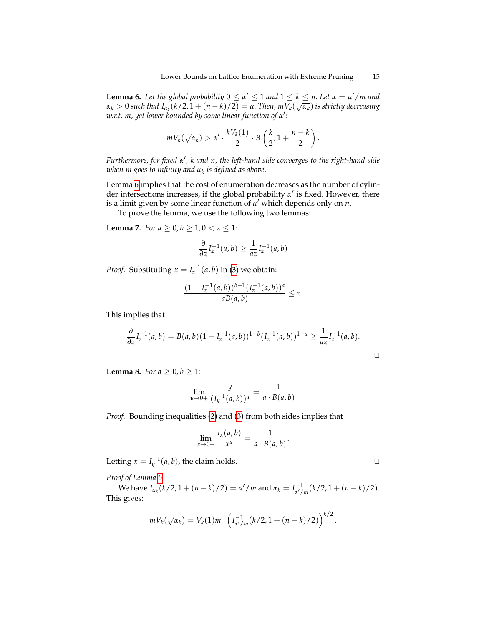**Lemma 6.** Let the global probability  $0 \le \alpha' \le 1$  and  $1 \le k \le n$ . Let  $\alpha = \alpha'/m$  and *α<sup>k</sup>* > 0 *such that Iα<sup>k</sup>* (*k*/2, 1 + (*n* − *k*)/2) = *α. Then, mV<sup>k</sup>* ( *αk* ) *is strictly decreasing w.r.t. m, yet lower bounded by some linear function of α* 0 *:*

$$
mV_k(\sqrt{\alpha_k}) > \alpha' \cdot \frac{kV_k(1)}{2} \cdot B\left(\frac{k}{2}, 1 + \frac{n-k}{2}\right).
$$

*Furthermore, for fixed α* 0 *, k and n, the left-hand side converges to the right-hand side when m goes to infinity and α<sup>k</sup> is defined as above.*

Lemma [6](#page-13-2) implies that the cost of enumeration decreases as the number of cylinder intersections increases, if the global probability *α'* is fixed. However, there is a limit given by some linear function of *α'* which depends only on *n*.

To prove the lemma, we use the following two lemmas:

**Lemma 7.** *For a*  $\geq 0, b \geq 1, 0 < z \leq 1$ *:* 

<span id="page-14-0"></span>
$$
\frac{\partial}{\partial z}I_z^{-1}(a,b) \ge \frac{1}{az}I_z^{-1}(a,b)
$$

*Proof.* Substituting  $x = I_z^{-1}(a, b)$  in [\(3\)](#page-4-0) we obtain:

$$
\frac{(1 - I_z^{-1}(a, b))^{b-1} (I_z^{-1}(a, b))^a}{aB(a, b)} \leq z.
$$

This implies that

$$
\frac{\partial}{\partial z} I_z^{-1}(a,b) = B(a,b)(1 - I_z^{-1}(a,b))^{1-b}(I_z^{-1}(a,b))^{1-a} \ge \frac{1}{az} I_z^{-1}(a,b).
$$

<span id="page-14-1"></span>**Lemma 8.** *For a*  $\geq 0, b \geq 1$ *:* 

$$
\lim_{y \to 0+} \frac{y}{(I_y^{-1}(a,b))^a} = \frac{1}{a \cdot B(a,b)}
$$

*Proof.* Bounding inequalities [\(2\)](#page-4-1) and [\(3\)](#page-4-0) from both sides implies that

$$
\lim_{x\to 0+}\frac{I_x(a,b)}{x^a}=\frac{1}{a\cdot B(a,b)}.
$$

Letting  $x = I_y^{-1}(a, b)$ , the claim holds.

*Proof of Lemma [6](#page-13-2)*

 $W$ e have  $I_{\alpha_k}(k/2, 1 + (n - k)/2) = \alpha'/m$  and  $\alpha_k = I_{\alpha'/k}^{-1}$  $\frac{1}{\alpha'/m}(k/2, 1 + (n-k)/2).$ This gives:

$$
mV_k(\sqrt{\alpha_k})=V_k(1)m\cdot \left(I_{\alpha'/m}^{-1}(k/2,1+(n-k)/2)\right)^{k/2}.
$$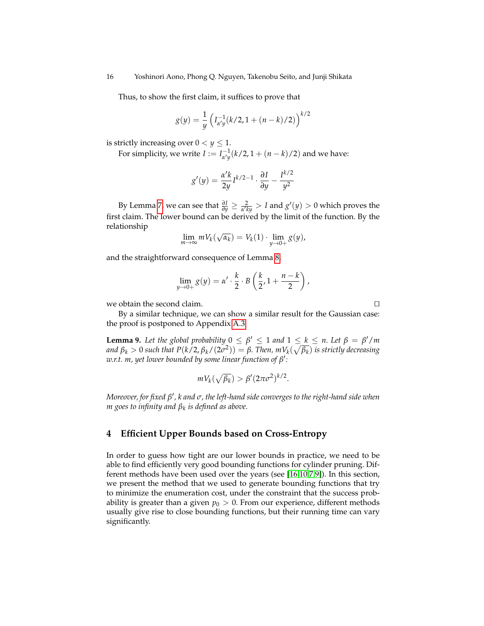Thus, to show the first claim, it suffices to prove that

$$
g(y) = \frac{1}{y} \left( I_{\alpha'y}^{-1}(k/2, 1 + (n-k)/2) \right)^{k/2}
$$

is strictly increasing over  $0 < y \leq 1$ .

For simplicity, we write  $I := I_{\alpha'\alpha}^{-1}$  $a_{\mu y}^{(-1)}(k/2, 1 + (n-k)/2)$  and we have:

$$
g'(y) = \frac{\alpha' k}{2y} I^{k/2 - 1} \cdot \frac{\partial I}{\partial y} - \frac{I^{k/2}}{y^2}
$$

By Lemma [7,](#page-14-0) we can see that  $\frac{\partial I}{\partial y} \geq \frac{2}{\alpha' k y} > I$  and  $g'(y) > 0$  which proves the first claim. The lower bound can be derived by the limit of the function. By the relationship

$$
\lim_{m\to\infty} mV_k(\sqrt{\alpha_k})=V_k(1)\cdot \lim_{y\to 0+} g(y),
$$

and the straightforward consequence of Lemma [8,](#page-14-1)

$$
\lim_{y \to 0+} g(y) = \alpha' \cdot \frac{k}{2} \cdot B\left(\frac{k}{2}, 1 + \frac{n-k}{2}\right),
$$

we obtain the second claim.  $\Box$ 

By a similar technique, we can show a similar result for the Gaussian case: the proof is postponed to Appendix [A.3.](#page-29-0)

**Lemma 9.** Let the global probability  $0 \leq \beta' \leq 1$  and  $1 \leq k \leq n$ . Let  $\beta = \beta'/m$ *and β<sup>k</sup>* > 0 *such that P*(*k*/2, *βk*/(2*σ* 2 )) = *β. Then, mV<sup>k</sup>* ( p *βk* ) *is strictly decreasing w.r.t. m, yet lower bounded by some linear function of β* 0 *:*

<span id="page-15-1"></span>
$$
mV_k(\sqrt{\beta_k}) > \beta'(2\pi\sigma^2)^{k/2}.
$$

 $M$ oreover, for fixed β' , k and  $\sigma$  , the left-hand side converges to the right-hand side when *m goes to infinity and β<sup>k</sup> is defined as above.*

# <span id="page-15-0"></span>**4 Efficient Upper Bounds based on Cross-Entropy**

In order to guess how tight are our lower bounds in practice, we need to be able to find efficiently very good bounding functions for cylinder pruning. Different methods have been used over the years (see [\[16](#page-25-3)[,10](#page-25-7)[,7](#page-25-1)[,9\]](#page-25-2)). In this section, we present the method that we used to generate bounding functions that try to minimize the enumeration cost, under the constraint that the success probability is greater than a given  $p_0 > 0$ . From our experience, different methods usually give rise to close bounding functions, but their running time can vary significantly.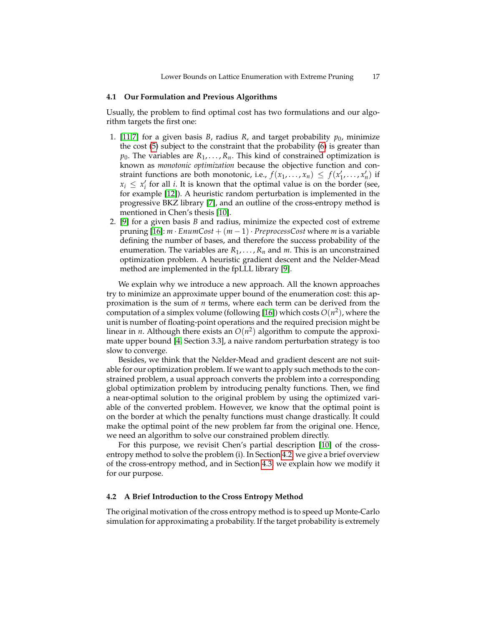#### **4.1 Our Formulation and Previous Algorithms**

Usually, the problem to find optimal cost has two formulations and our algorithm targets the first one:

- 1. [\[11](#page-25-0)[,7\]](#page-25-1) for a given basis *B*, radius *R*, and target probability  $p_0$ , minimize the cost [\(5\)](#page-6-0) subject to the constraint that the probability [\(6\)](#page-6-1) is greater than  $p_0$ . The variables are  $R_1, \ldots, R_n$ . This kind of constrained optimization is known as *monotonic optimization* because the objective function and constraint functions are both monotonic, i.e.,  $f(x_1, \ldots, x_n) \leq f(x'_1, \ldots, x'_n)$  if  $x_i \leq x_i'$  for all *i*. It is known that the optimal value is on the border (see, for example [\[12\]](#page-25-14)). A heuristic random perturbation is implemented in the progressive BKZ library [\[7\]](#page-25-1), and an outline of the cross-entropy method is mentioned in Chen's thesis [\[10\]](#page-25-7).
- 2. [\[9\]](#page-25-2) for a given basis *B* and radius, minimize the expected cost of extreme pruning  $[16]$ :  $m \cdot \text{EnumCost} + (m-1) \cdot \text{PreprocessCost}$  where  $m$  is a variable defining the number of bases, and therefore the success probability of the enumeration. The variables are  $R_1, \ldots, R_n$  and  $m$ . This is an unconstrained optimization problem. A heuristic gradient descent and the Nelder-Mead method are implemented in the fpLLL library [\[9\]](#page-25-2).

We explain why we introduce a new approach. All the known approaches try to minimize an approximate upper bound of the enumeration cost: this approximation is the sum of *n* terms, where each term can be derived from the computation of a simplex volume (following [\[16\]](#page-25-3)) which costs  $O(n^2)$ , where the unit is number of floating-point operations and the required precision might be linear in *n*. Although there exists an  $O(n^2)$  algorithm to compute the approximate upper bound [\[4,](#page-25-15) Section 3.3], a naive random perturbation strategy is too slow to converge.

Besides, we think that the Nelder-Mead and gradient descent are not suitable for our optimization problem. If we want to apply such methods to the constrained problem, a usual approach converts the problem into a corresponding global optimization problem by introducing penalty functions. Then, we find a near-optimal solution to the original problem by using the optimized variable of the converted problem. However, we know that the optimal point is on the border at which the penalty functions must change drastically. It could make the optimal point of the new problem far from the original one. Hence, we need an algorithm to solve our constrained problem directly.

For this purpose, we revisit Chen's partial description [\[10\]](#page-25-7) of the crossentropy method to solve the problem (i). In Section [4.2,](#page-16-0) we give a brief overview of the cross-entropy method, and in Section [4.3,](#page-18-0) we explain how we modify it for our purpose.

# <span id="page-16-0"></span>**4.2 A Brief Introduction to the Cross Entropy Method**

The original motivation of the cross entropy method is to speed up Monte-Carlo simulation for approximating a probability. If the target probability is extremely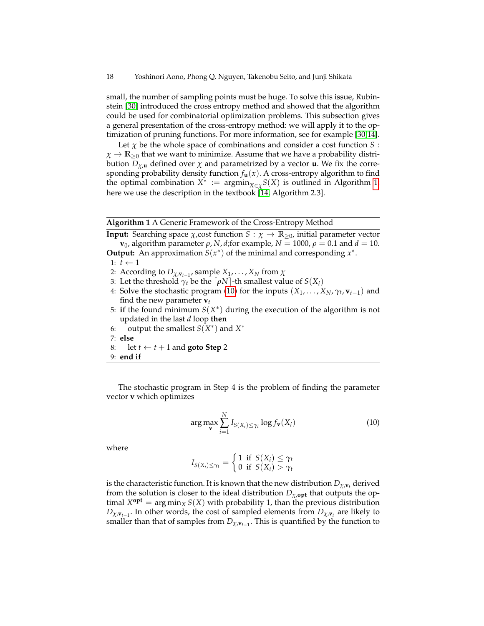small, the number of sampling points must be huge. To solve this issue, Rubinstein [\[30\]](#page-26-10) introduced the cross entropy method and showed that the algorithm could be used for combinatorial optimization problems. This subsection gives a general presentation of the cross-entropy method: we will apply it to the optimization of pruning functions. For more information, see for example [\[30](#page-26-10)[,14\]](#page-25-16).

Let  $\chi$  be the whole space of combinations and consider a cost function *S* :  $\chi \to \mathbb{R}_{\geq 0}$  that we want to minimize. Assume that we have a probability distribution *Dχ*,**<sup>u</sup>** defined over *χ* and parametrized by a vector **u**. We fix the corresponding probability density function  $f_{\mathbf{u}}(x)$ . A cross-entropy algorithm to find the optimal combination  $X^* := \operatorname{argmin}_{X \in \chi} S(X)$  is outlined in Algorithm [1;](#page-17-0) here we use the description in the textbook [\[14,](#page-25-16) Algorithm 2.3].

#### **Algorithm 1** A Generic Framework of the Cross-Entropy Method

<span id="page-17-0"></span>**Input:** Searching space  $\chi$ , cost function  $S : \chi \to \mathbb{R}_{\geq 0}$ , initial parameter vector **v**<sub>0</sub>, algorithm parameter *ρ*, *N*, *d*;for example,  $N = 1000$ ,  $ρ = 0.1$  and  $d = 10$ . **Output:** An approximation  $S(x^*)$  of the minimal and corresponding  $x^*$ .

- 1:  $t \leftarrow 1$
- 2: According to  $D_{\chi,\mathbf{v}_{t-1}}$ , sample  $X_1,\ldots,X_N$  from  $\chi$
- 3: Let the threshold  $\gamma_t$  be the  $\lceil \rho N \rceil$ -th smallest value of  $S(X_i)$
- 4: Solve the stochastic program [\(10\)](#page-17-1) for the inputs  $(X_1, \ldots, X_N, \gamma_t, \mathbf{v}_{t-1})$  and find the new parameter  $$
- 5: if the found minimum  $S(X^*)$  during the execution of the algorithm is not updated in the last *d* loop **then**
- 6: output the smallest  $S(X^*)$  and  $X^*$
- 7: **else**
- 8: let  $t \leftarrow t + 1$  and **goto Step** 2
- 9: **end if**

The stochastic program in Step 4 is the problem of finding the parameter vector **v** which optimizes

<span id="page-17-1"></span>
$$
\arg \max_{\mathbf{v}} \sum_{i=1}^{N} I_{S(X_i) \leq \gamma_t} \log f_{\mathbf{v}}(X_i)
$$
\n(10)

where

$$
I_{S(X_i)\leq \gamma_t} = \begin{cases} 1 & \text{if } S(X_i) \leq \gamma_t \\ 0 & \text{if } S(X_i) > \gamma_t \end{cases}
$$

is the characteristic function. It is known that the new distribution  $D_{\chi,\mathbf{v}_t}$  derived from the solution is closer to the ideal distribution  $D_{\chi, \text{opt}}$  that outputs the optimal  $X^{\text{opt}} = \arg \min_X S(X)$  with probability 1, than the previous distribution *Dχ*,**v***t*−<sup>1</sup> . In other words, the cost of sampled elements from *Dχ*,**v***<sup>t</sup>* are likely to smaller than that of samples from *Dχ*,**v***t*−<sup>1</sup> . This is quantified by the function to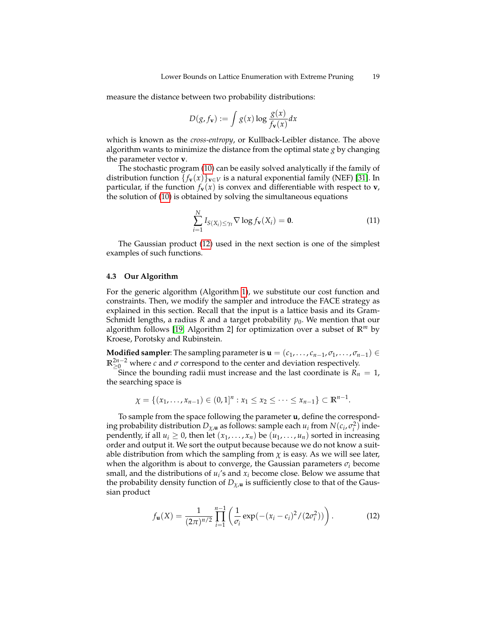measure the distance between two probability distributions:

$$
D(g, f_{\mathbf{v}}) := \int g(x) \log \frac{g(x)}{f_{\mathbf{v}}(x)} dx
$$

which is known as the *cross-entropy*, or Kullback-Leibler distance. The above algorithm wants to minimize the distance from the optimal state *g* by changing the parameter vector **v**.

The stochastic program [\(10\)](#page-17-1) can be easily solved analytically if the family of distribution function  $\{f_v(x)\}_{v \in V}$  is a natural exponential family (NEF) [\[31\]](#page-26-11). In particular, if the function  $f_{\bf{v}}(x)$  is convex and differentiable with respect to **v**, the solution of [\(10\)](#page-17-1) is obtained by solving the simultaneous equations

<span id="page-18-2"></span>
$$
\sum_{i=1}^{N} I_{S(X_i) \leq \gamma_t} \nabla \log f_{\mathbf{v}}(X_i) = \mathbf{0}.
$$
 (11)

The Gaussian product [\(12\)](#page-18-1) used in the next section is one of the simplest examples of such functions.

#### <span id="page-18-0"></span>**4.3 Our Algorithm**

For the generic algorithm (Algorithm [1\)](#page-17-0), we substitute our cost function and constraints. Then, we modify the sampler and introduce the FACE strategy as explained in this section. Recall that the input is a lattice basis and its Gram-Schmidt lengths, a radius *R* and a target probability  $p_0$ . We mention that our algorithm follows [\[19,](#page-25-17) Algorithm 2] for optimization over a subset of **R***<sup>m</sup>* by Kroese, Porotsky and Rubinstein.

**Modified sampler**: The sampling parameter is  $\mathbf{u} = (c_1, \ldots, c_{n-1}, \sigma_1, \ldots, \sigma_{n-1}) \in$  $\mathbb{R}^{2n-2}_{\geq 0}$  where *c* and *σ* correspond to the center and deviation respectively.

Since the bounding radii must increase and the last coordinate is  $R_n = 1$ , the searching space is

$$
\chi = \{(x_1, \ldots, x_{n-1}) \in (0,1]^n : x_1 \leq x_2 \leq \cdots \leq x_{n-1}\} \subset \mathbb{R}^{n-1}.
$$

To sample from the space following the parameter **u**, define the corresponding probability distribution  $D_{\chi,\mathbf{u}}$  as follows: sample each  $u_i$  from  $N(c_i, \sigma_i^2)$  independently, if all  $u_i \geq 0$ , then let  $(x_1, \ldots, x_n)$  be  $(u_1, \ldots, u_n)$  sorted in increasing order and output it. We sort the output because because we do not know a suitable distribution from which the sampling from  $\chi$  is easy. As we will see later, when the algorithm is about to converge, the Gaussian parameters *σ<sup>i</sup>* become small, and the distributions of  $u_i$ 's and  $x_i$  become close. Below we assume that the probability density function of  $D_{\chi,\mathbf{u}}$  is sufficiently close to that of the Gaussian product

<span id="page-18-1"></span>
$$
f_{\mathbf{u}}(X) = \frac{1}{(2\pi)^{n/2}} \prod_{i=1}^{n-1} \left( \frac{1}{\sigma_i} \exp(-(x_i - c_i)^2 / (2\sigma_i^2)) \right).
$$
 (12)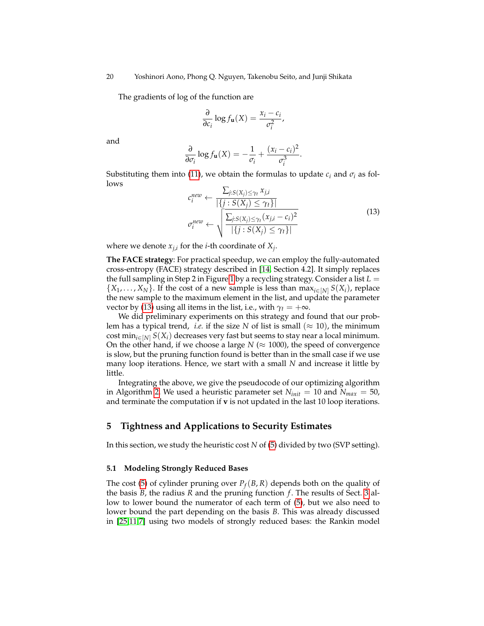The gradients of log of the function are

$$
\frac{\partial}{\partial c_i} \log f_{\mathbf{u}}(X) = \frac{x_i - c_i}{\sigma_i^2},
$$

and

$$
\frac{\partial}{\partial \sigma_i} \log f_{\mathbf{u}}(X) = -\frac{1}{\sigma_i} + \frac{(x_i - c_i)^2}{\sigma_i^3}.
$$

<span id="page-19-1"></span>Substituting them into [\(11\)](#page-18-2), we obtain the formulas to update  $c_i$  and  $\sigma_i$  as follows

$$
c_i^{new} \leftarrow \frac{\sum_{j:S(X_j) \le \gamma_t} x_{j,i}}{|\{j: S(X_j) \le \gamma_t\}|}
$$
  

$$
\sigma_i^{new} \leftarrow \sqrt{\frac{\sum_{j:S(X_j) \le \gamma_t} (x_{j,i} - c_i)^2}{|\{j: S(X_j) \le \gamma_t\}|}}
$$
(13)

where we denote  $x_{j,i}$  for the *i*-th coordinate of  $X_j$ .

**The FACE strategy**: For practical speedup, we can employ the fully-automated cross-entropy (FACE) strategy described in [\[14,](#page-25-16) Section 4.2]. It simply replaces the full sampling in Step 2 in Figure [1](#page-17-0) by a recycling strategy. Consider a list *L* =  $\{X_1, \ldots, X_N\}$ . If the cost of a new sample is less than max<sub>*i*∈[*N*]</sub>  $S(X_i)$ , replace the new sample to the maximum element in the list, and update the parameter vector by [\(13\)](#page-19-1) using all items in the list, i.e., with  $\gamma_t = +\infty$ .

We did preliminary experiments on this strategy and found that our problem has a typical trend, *i.e.* if the size *N* of list is small ( $\approx$  10), the minimum cost min<sub>*i*∈[*N*]</sub>  $S(X_i)$  decreases very fast but seems to stay near a local minimum. On the other hand, if we choose a large  $N \approx 1000$ , the speed of convergence is slow, but the pruning function found is better than in the small case if we use many loop iterations. Hence, we start with a small *N* and increase it little by little.

Integrating the above, we give the pseudocode of our optimizing algorithm in Algorithm [2.](#page-20-0) We used a heuristic parameter set  $N_{init} = 10$  and  $N_{max} = 50$ , and terminate the computation if **v** is not updated in the last 10 loop iterations.

# <span id="page-19-0"></span>**5 Tightness and Applications to Security Estimates**

In this section, we study the heuristic cost *N* of [\(5\)](#page-6-0) divided by two (SVP setting).

# **5.1 Modeling Strongly Reduced Bases**

The cost [\(5\)](#page-6-0) of cylinder pruning over  $P_f(B,R)$  depends both on the quality of the basis *B*, the radius *R* and the pruning function  $f$ . The results of Sect. [3](#page-7-0) allow to lower bound the numerator of each term of [\(5\)](#page-6-0), but we also need to lower bound the part depending on the basis *B*. This was already discussed in [\[25](#page-26-12)[,11](#page-25-0)[,7\]](#page-25-1) using two models of strongly reduced bases: the Rankin model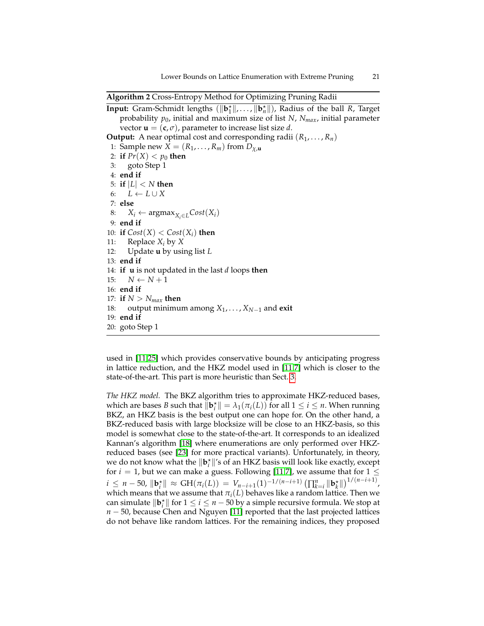**Algorithm 2** Cross-Entropy Method for Optimizing Pruning Radii

```
Input: Gram-Schmidt lengths (\|\mathbf{b}_1^{\star}\|, \ldots, \|\mathbf{b}_n^{\star}\|), Radius of the ball R, Target
    probability p0, initial and maximum size of list N, Nmax, initial parameter
    vector \mathbf{u} = (\mathbf{c}, \sigma), parameter to increase list size d.
Output: A near optimal cost and corresponding radii (R_1, \ldots, R_n)1: Sample new X = (R_1, \ldots, R_m) from D_{\chi,\mathbf{u}}2: if Pr(X) < p_0 then
 3: goto Step 1
 4: end if
 5: if |L| < N then
 6: L \leftarrow L \cup X7: else
 8: X_i ← argmax<sub>X_i ∈ L</sub>Cost(X_i)9: end if
10: if Cost(X) < Cost(X_i) then
11: Replace Xi by X
12: Update u by using list L
13: end if
14: if u is not updated in the last d loops then
15: N \leftarrow N + 116: end if
17: if N > N_{max} then
18: output minimum among X1, . . . , XN−1 and exit
19: end if
20: goto Step 1
```
used in [\[11,](#page-25-0)[25\]](#page-26-12) which provides conservative bounds by anticipating progress in lattice reduction, and the HKZ model used in [\[11](#page-25-0)[,7\]](#page-25-1) which is closer to the state-of-the-art. This part is more heuristic than Sect. [3.](#page-7-0)

*The HKZ model.* The BKZ algorithm tries to approximate HKZ-reduced bases, which are bases *B* such that  $\|\mathbf{b}_i^{\star}\| = \lambda_1(\pi_i(L))$  for all  $1 \leq i \leq n$ . When running BKZ, an HKZ basis is the best output one can hope for. On the other hand, a BKZ-reduced basis with large blocksize will be close to an HKZ-basis, so this model is somewhat close to the state-of-the-art. It corresponds to an idealized Kannan's algorithm [\[18\]](#page-25-10) where enumerations are only performed over HKZreduced bases (see [\[23\]](#page-26-13) for more practical variants). Unfortunately, in theory, we do not know what the  $\|\mathbf{b}_i^*\|$ 's of an HKZ basis will look like exactly, except for  $i=1$ , but we can make a guess. Following [\[11](#page-25-0)[,7\]](#page-25-1), we assume that for 1  $\leq$  $i \leq n - 50$ ,  $\|\mathbf{b}_{i}^{*}\| \approx \text{GH}(\pi_{i}(L)) = V_{n-i+1}(1)^{-1/(n-i+1)} \left(\prod_{k=i}^{n} \|\mathbf{b}_{k}^{*}\|\right)^{1/(n-i+1)}$ which means that we assume that  $\pi_i(L)$  behaves like a random lattice. Then we can simulate  $\|\mathbf{b}_i^{\star}\|$  for  $1 \leq i \leq n - 50$  by a simple recursive formula. We stop at *n* − 50, because Chen and Nguyen [\[11\]](#page-25-0) reported that the last projected lattices do not behave like random lattices. For the remaining indices, they proposed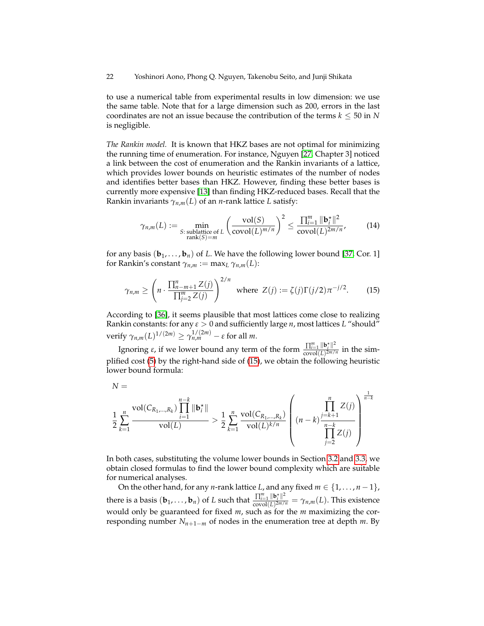22 Yoshinori Aono, Phong Q. Nguyen, Takenobu Seito, and Junji Shikata

to use a numerical table from experimental results in low dimension: we use the same table. Note that for a large dimension such as 200, errors in the last coordinates are not an issue because the contribution of the terms  $k \leq 50$  in *N* is negligible.

*The Rankin model.* It is known that HKZ bases are not optimal for minimizing the running time of enumeration. For instance, Nguyen [\[27,](#page-26-14) Chapter 3] noticed a link between the cost of enumeration and the Rankin invariants of a lattice, which provides lower bounds on heuristic estimates of the number of nodes and identifies better bases than HKZ. However, finding these better bases is currently more expensive [\[13\]](#page-25-18) than finding HKZ-reduced bases. Recall that the Rankin invariants  $\gamma_{n,m}(L)$  of an *n*-rank lattice *L* satisfy:

<span id="page-21-0"></span>
$$
\gamma_{n,m}(L) := \min_{\substack{S: \text{ sublattice of } L \\ \text{rank}(S) = m}} \left( \frac{\text{vol}(S)}{\text{covol}(L)^{m/n}} \right)^2 \le \frac{\prod_{i=1}^m \|\mathbf{b}_i^*\|^2}{\text{covol}(L)^{2m/n}},\tag{14}
$$

for any basis  $(\mathbf{b}_1, \ldots, \mathbf{b}_n)$  of L. We have the following lower bound [\[37,](#page-26-15) Cor. 1] for Rankin's constant  $\gamma_{n,m} := \max_L \gamma_{n,m}(L)$ :

$$
\gamma_{n,m} \ge \left(n \cdot \frac{\prod_{n=m+1}^{n} Z(j)}{\prod_{j=2}^{m} Z(j)}\right)^{2/n} \text{ where } Z(j) := \zeta(j)\Gamma(j/2)\pi^{-j/2}.
$$
 (15)

According to [\[36\]](#page-26-16), it seems plausible that most lattices come close to realizing Rankin constants: for any *ε* > 0 and sufficiently large *n*, most lattices *L* "should"  $\text{verify } \gamma_{n,m}(L)^{1/(2m)} \geq \gamma_{n,m}^{1/(2m)} - \varepsilon \text{ for all } m.$ 

Ignoring *ε*, if we lower bound any term of the form  $\frac{\prod_{i=1}^{m} ||\mathbf{b}_{i}^{*}||^{2}}{\text{covol}(I)^{2m}}$  $\frac{1}{2} \frac{\ln \mathcal{L}_i}{\ln \mathcal{L}_i}$  in the simplified cost [\(5\)](#page-6-0) by the right-hand side of [\(15\)](#page-21-0), we obtain the following heuristic lower bound formula:

$$
N =
$$

$$
\frac{1}{2}\sum_{k=1}^{n} \frac{\text{vol}(C_{R_1,...,R_k})\prod_{i=1}^{n-k} \|\mathbf{b}_i^{\star}\|}{\text{vol}(L)} > \frac{1}{2}\sum_{k=1}^{n} \frac{\text{vol}(C_{R_1,...,R_k})}{\text{vol}(L)^{k/n}} \left( (n-k)\frac{\prod_{i=k+1}^{n} Z(j)}{\prod_{j=2}^{n-k} Z(j)} \right)^{\frac{1}{n-k}}
$$

In both cases, substituting the volume lower bounds in Section [3.2](#page-10-2) and [3.3,](#page-12-3) we obtain closed formulas to find the lower bound complexity which are suitable for numerical analyses.

On the other hand, for any *n*-rank lattice *L*, and any fixed  $m \in \{1, \ldots, n-1\}$ , there is a basis  $(\mathbf{b}_1, \dots, \mathbf{b}_n)$  of *L* such that  $\frac{\prod_{i=1}^m ||\mathbf{b}_i^*||^2}{\cosh(1)^{2m/2}}$  $\frac{\prod_{i=1}^{n} ||\mathbf{b}_{i}||}{\mathrm{covol}(L)^{2m/n}} = \gamma_{n,m}(L).$  This existence would only be guaranteed for fixed *m*, such as for the *m* maximizing the corresponding number  $N_{n+1-m}$  of nodes in the enumeration tree at depth  $m$ . By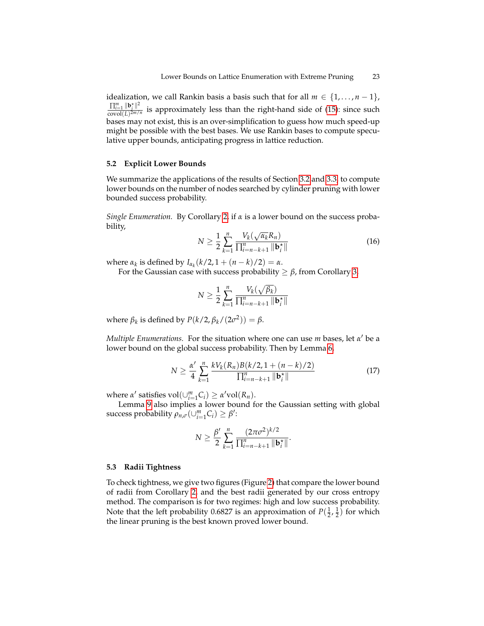idealization, we call Rankin basis a basis such that for all  $m \in \{1, ..., n-1\}$ ,  $\prod_{i=1}^m \|\mathbf{b}^\star_i\|^2$  $\frac{11i=1 \text{ } \mid \mid \mathbf{c}_i \mid \mid}{\text{covol}(L)^{2m/n}}$  is approximately less than the right-hand side of [\(15\)](#page-21-0): since such bases may not exist, this is an over-simplification to guess how much speed-up might be possible with the best bases. We use Rankin bases to compute speculative upper bounds, anticipating progress in lattice reduction.

#### **5.2 Explicit Lower Bounds**

We summarize the applications of the results of Section [3.2](#page-10-2) and [3.3,](#page-12-3) to compute lower bounds on the number of nodes searched by cylinder pruning with lower bounded success probability.

<span id="page-22-0"></span>*Single Enumeration.* By Corollary [2,](#page-11-1) if *α* is a lower bound on the success probability, √

$$
N \geq \frac{1}{2} \sum_{k=1}^{n} \frac{V_k(\sqrt{\alpha_k} R_n)}{\prod_{i=n-k+1}^{n} \|\mathbf{b}_i^*\|}
$$
(16)

 $\alpha_k$  is defined by *I*<sub>α<sub>k</sub></sub>(*k*/2, 1 + (*n* − *k*)/2) = α.

For the Gaussian case with success probability  $\geq \beta$ , from Corollary [3,](#page-11-2)

<span id="page-22-1"></span>
$$
N \ge \frac{1}{2} \sum_{k=1}^{n} \frac{V_k(\sqrt{\beta_k})}{\prod_{i=n-k+1}^{n} \|\mathbf{b}_{i}^{\star}\|}
$$

where  $\beta_k$  is defined by  $P(k/2, \beta_k/(2\sigma^2)) = \beta$ .

*Multiple Enumerations.* For the situation where one can use *m* bases, let *α'* be a lower bound on the global success probability. Then by Lemma [6,](#page-13-2)

$$
N \ge \frac{\alpha'}{4} \sum_{k=1}^{n} \frac{k V_k(R_n) B(k/2, 1 + (n-k)/2)}{\prod_{i=n-k+1}^{n} \|\mathbf{b}_i^*\|} \tag{17}
$$

where *α'* satisfies  $vol(\cup_{i=1}^{m} C_i) \geq \alpha' vol(R_n)$ .

Lemma [9](#page-15-1) also implies a lower bound for the Gaussian setting with global success probability  $\rho_{n,\sigma}(\cup_{i=1}^m C_i) \geq \beta'$ :

$$
N \geq \frac{\beta'}{2} \sum_{k=1}^n \frac{(2\pi\sigma^2)^{k/2}}{\prod_{i=n-k+1}^n \|\mathbf{b}_i^*\|}.
$$

#### **5.3 Radii Tightness**

To check tightness, we give two figures (Figure [2\)](#page-23-0) that compare the lower bound of radii from Corollary [2,](#page-11-1) and the best radii generated by our cross entropy method. The comparison is for two regimes: high and low success probability. Note that the left probability 0.6827 is an approximation of  $P(\frac{1}{2}, \frac{1}{2})$  for which the linear pruning is the best known proved lower bound.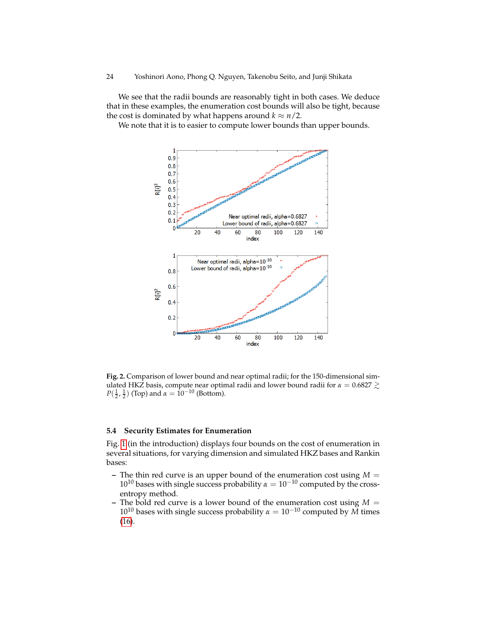We see that the radii bounds are reasonably tight in both cases. We deduce that in these examples, the enumeration cost bounds will also be tight, because the cost is dominated by what happens around  $k \approx n/2$ .

We note that it is to easier to compute lower bounds than upper bounds.



<span id="page-23-0"></span>**Fig. 2.** Comparison of lower bound and near optimal radii; for the 150-dimensional simulated HKZ basis, compute near optimal radii and lower bound radii for  $\alpha = 0.6827 \gtrsim$ *P*( $\frac{1}{2}$ ,  $\frac{1}{2}$ ) (Top) and  $\alpha = 10^{-10}$  (Bottom).

### **5.4 Security Estimates for Enumeration**

Fig. [1](#page-2-0) (in the introduction) displays four bounds on the cost of enumeration in several situations, for varying dimension and simulated HKZ bases and Rankin bases:

- **–** The thin red curve is an upper bound of the enumeration cost using  $M =$  $10^{10}$  bases with single success probability  $\alpha = 10^{-10}$  computed by the crossentropy method.
- **–** The bold red curve is a lower bound of the enumeration cost using *M* =  $10^{10}$  bases with single success probability  $\alpha = 10^{-10}$  computed by  $\widetilde{M}$  times [\(16\)](#page-22-0).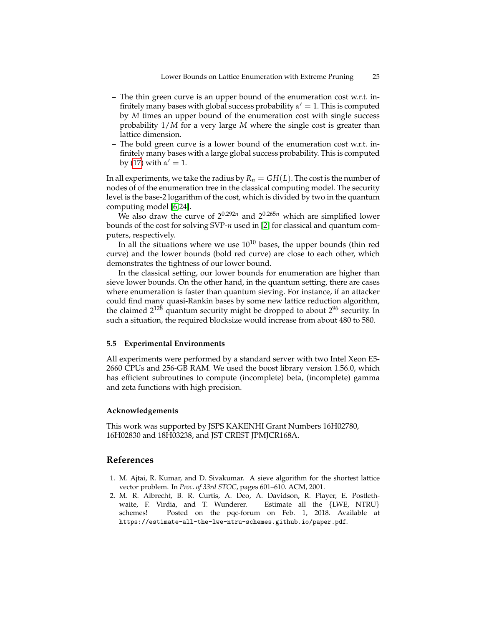- **–** The thin green curve is an upper bound of the enumeration cost w.r.t. infinitely many bases with global success probability  $\alpha' = 1$ . This is computed by *M* times an upper bound of the enumeration cost with single success probability 1/*M* for a very large *M* where the single cost is greater than lattice dimension.
- **–** The bold green curve is a lower bound of the enumeration cost w.r.t. infinitely many bases with a large global success probability. This is computed by [\(17\)](#page-22-1) with  $\alpha' = 1$ .

In all experiments, we take the radius by  $R_n = GH(L)$ . The cost is the number of nodes of of the enumeration tree in the classical computing model. The security level is the base-2 logarithm of the cost, which is divided by two in the quantum computing model [\[6,](#page-25-8)[24\]](#page-26-17).

We also draw the curve of  $2^{0.292n}$  and  $2^{0.265n}$  which are simplified lower bounds of the cost for solving SVP-*n* used in [\[2\]](#page-24-0) for classical and quantum computers, respectively.

In all the situations where we use  $10^{10}$  bases, the upper bounds (thin red curve) and the lower bounds (bold red curve) are close to each other, which demonstrates the tightness of our lower bound.

In the classical setting, our lower bounds for enumeration are higher than sieve lower bounds. On the other hand, in the quantum setting, there are cases where enumeration is faster than quantum sieving. For instance, if an attacker could find many quasi-Rankin bases by some new lattice reduction algorithm, the claimed  $2^{128}$  quantum security might be dropped to about  $2^{96}$  security. In such a situation, the required blocksize would increase from about 480 to 580.

### **5.5 Experimental Environments**

All experiments were performed by a standard server with two Intel Xeon E5- 2660 CPUs and 256-GB RAM. We used the boost library version 1.56.0, which has efficient subroutines to compute (incomplete) beta, (incomplete) gamma and zeta functions with high precision.

### **Acknowledgements**

This work was supported by JSPS KAKENHI Grant Numbers 16H02780, 16H02830 and 18H03238, and JST CREST JPMJCR168A.

# **References**

- <span id="page-24-1"></span>1. M. Ajtai, R. Kumar, and D. Sivakumar. A sieve algorithm for the shortest lattice vector problem. In *Proc. of 33rd STOC*, pages 601–610. ACM, 2001.
- <span id="page-24-0"></span>2. M. R. Albrecht, B. R. Curtis, A. Deo, A. Davidson, R. Player, E. Postlethwaite, F. Virdia, and T. Wunderer. Estimate all the {LWE, NTRU} schemes! Posted on the pqc-forum on Feb. 1, 2018. Available at https://estimate-all-the-lwe-ntru-schemes.github.io/paper.pdf.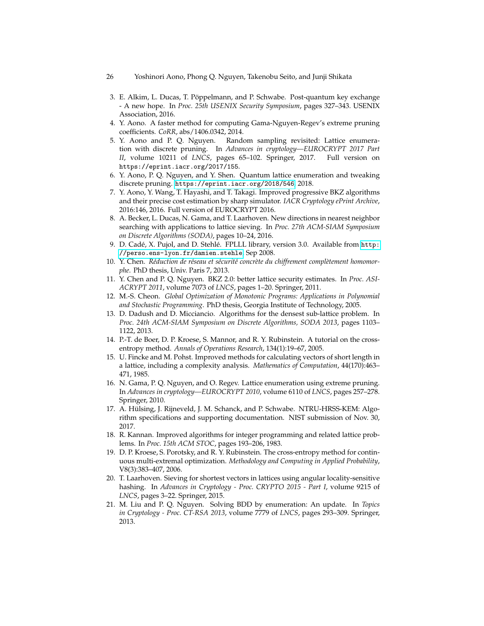- 26 Yoshinori Aono, Phong Q. Nguyen, Takenobu Seito, and Junji Shikata
- <span id="page-25-6"></span>3. E. Alkim, L. Ducas, T. Pöppelmann, and P. Schwabe. Post-quantum key exchange - A new hope. In *Proc. 25th USENIX Security Symposium*, pages 327–343. USENIX Association, 2016.
- <span id="page-25-15"></span>4. Y. Aono. A faster method for computing Gama-Nguyen-Regev's extreme pruning coefficients. *CoRR*, abs/1406.0342, 2014.
- <span id="page-25-12"></span>5. Y. Aono and P. Q. Nguyen. Random sampling revisited: Lattice enumeration with discrete pruning. In *Advances in cryptology—EUROCRYPT 2017 Part II*, volume 10211 of *LNCS*, pages 65–102. Springer, 2017. Full version on https://eprint.iacr.org/2017/155.
- <span id="page-25-8"></span>6. Y. Aono, P. Q. Nguyen, and Y. Shen. Quantum lattice enumeration and tweaking discrete pruning. <https://eprint.iacr.org/2018/546>, 2018.
- <span id="page-25-1"></span>7. Y. Aono, Y. Wang, T. Hayashi, and T. Takagi. Improved progressive BKZ algorithms and their precise cost estimation by sharp simulator. *IACR Cryptology ePrint Archive*, 2016:146, 2016. Full version of EUROCRYPT 2016.
- <span id="page-25-5"></span>8. A. Becker, L. Ducas, N. Gama, and T. Laarhoven. New directions in nearest neighbor searching with applications to lattice sieving. In *Proc. 27th ACM-SIAM Symposium on Discrete Algorithms (SODA)*, pages 10–24, 2016.
- <span id="page-25-2"></span>9. D. Cadé, X. Pujol, and D. Stehlé. FPLLL library, version 3.0. Available from [http:](http://perso.ens-lyon.fr/damien.stehle) [//perso.ens-lyon.fr/damien.stehle](http://perso.ens-lyon.fr/damien.stehle), Sep 2008.
- <span id="page-25-7"></span>10. Y. Chen. Réduction de réseau et sécurité concrète du chiffrement complètement homomor*phe*. PhD thesis, Univ. Paris 7, 2013.
- <span id="page-25-0"></span>11. Y. Chen and P. Q. Nguyen. BKZ 2.0: better lattice security estimates. In *Proc. ASI-ACRYPT 2011*, volume 7073 of *LNCS*, pages 1–20. Springer, 2011.
- <span id="page-25-14"></span>12. M.-S. Cheon. *Global Optimization of Monotonic Programs: Applications in Polynomial and Stochastic Programming*. PhD thesis, Georgia Institute of Technology, 2005.
- <span id="page-25-18"></span>13. D. Dadush and D. Micciancio. Algorithms for the densest sub-lattice problem. In *Proc. 24th ACM-SIAM Symposium on Discrete Algorithms, SODA 2013*, pages 1103– 1122, 2013.
- <span id="page-25-16"></span>14. P.-T. de Boer, D. P. Kroese, S. Mannor, and R. Y. Rubinstein. A tutorial on the crossentropy method. *Annals of Operations Research*, 134(1):19–67, 2005.
- <span id="page-25-11"></span>15. U. Fincke and M. Pohst. Improved methods for calculating vectors of short length in a lattice, including a complexity analysis. *Mathematics of Computation*, 44(170):463– 471, 1985.
- <span id="page-25-3"></span>16. N. Gama, P. Q. Nguyen, and O. Regev. Lattice enumeration using extreme pruning. In *Advances in cryptology—EUROCRYPT 2010*, volume 6110 of *LNCS*, pages 257–278. Springer, 2010.
- <span id="page-25-9"></span>17. A. Hulsing, J. Rijneveld, J. M. Schanck, and P. Schwabe. NTRU-HRSS-KEM: Algo- ¨ rithm specifications and supporting documentation. NIST submission of Nov. 30, 2017.
- <span id="page-25-10"></span>18. R. Kannan. Improved algorithms for integer programming and related lattice problems. In *Proc. 15th ACM STOC*, pages 193–206, 1983.
- <span id="page-25-17"></span>19. D. P. Kroese, S. Porotsky, and R. Y. Rubinstein. The cross-entropy method for continuous multi-extremal optimization. *Methodology and Computing in Applied Probability*, V8(3):383–407, 2006.
- <span id="page-25-4"></span>20. T. Laarhoven. Sieving for shortest vectors in lattices using angular locality-sensitive hashing. In *Advances in Cryptology - Proc. CRYPTO 2015 - Part I*, volume 9215 of *LNCS*, pages 3–22. Springer, 2015.
- <span id="page-25-13"></span>21. M. Liu and P. Q. Nguyen. Solving BDD by enumeration: An update. In *Topics in Cryptology - Proc. CT-RSA 2013*, volume 7779 of *LNCS*, pages 293–309. Springer, 2013.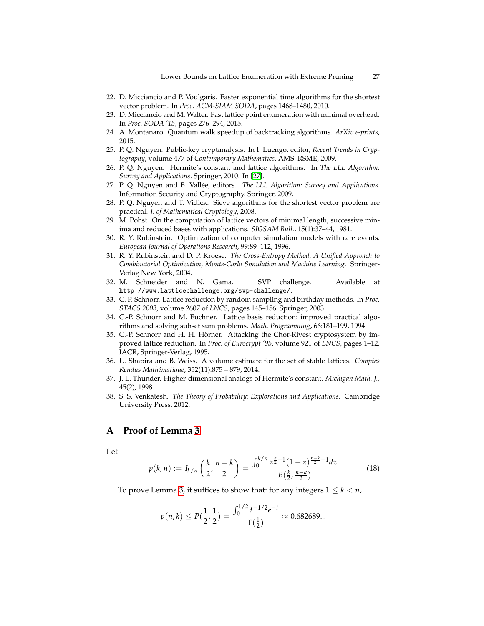- <span id="page-26-3"></span>22. D. Micciancio and P. Voulgaris. Faster exponential time algorithms for the shortest vector problem. In *Proc. ACM-SIAM SODA*, pages 1468–1480, 2010.
- <span id="page-26-13"></span>23. D. Micciancio and M. Walter. Fast lattice point enumeration with minimal overhead. In *Proc. SODA '15*, pages 276–294, 2015.
- <span id="page-26-17"></span>24. A. Montanaro. Quantum walk speedup of backtracking algorithms. *ArXiv e-prints*, 2015.
- <span id="page-26-12"></span>25. P. Q. Nguyen. Public-key cryptanalysis. In I. Luengo, editor, *Recent Trends in Cryptography*, volume 477 of *Contemporary Mathematics*. AMS–RSME, 2009.
- <span id="page-26-5"></span>26. P. Q. Nguyen. Hermite's constant and lattice algorithms. In *The LLL Algorithm: Survey and Applications*. Springer, 2010. In [\[27\]](#page-26-14).
- <span id="page-26-14"></span>27. P. Q. Nguyen and B. Vallee, editors. ´ *The LLL Algorithm: Survey and Applications*. Information Security and Cryptography. Springer, 2009.
- <span id="page-26-2"></span>28. P. Q. Nguyen and T. Vidick. Sieve algorithms for the shortest vector problem are practical. *J. of Mathematical Cryptology*, 2008.
- <span id="page-26-6"></span>29. M. Pohst. On the computation of lattice vectors of minimal length, successive minima and reduced bases with applications. *SIGSAM Bull.*, 15(1):37–44, 1981.
- <span id="page-26-10"></span>30. R. Y. Rubinstein. Optimization of computer simulation models with rare events. *European Journal of Operations Research*, 99:89–112, 1996.
- <span id="page-26-11"></span>31. R. Y. Rubinstein and D. P. Kroese. *The Cross-Entropy Method, A Unified Approach to Combinatorial Optimization, Monte-Carlo Simulation and Machine Learning*. Springer-Verlag New York, 2004.
- <span id="page-26-4"></span>32. M. Schneider and N. Gama. SVP challenge. Available at http://www.latticechallenge.org/svp-challenge/.
- <span id="page-26-7"></span>33. C. P. Schnorr. Lattice reduction by random sampling and birthday methods. In *Proc. STACS 2003*, volume 2607 of *LNCS*, pages 145–156. Springer, 2003.
- <span id="page-26-0"></span>34. C.-P. Schnorr and M. Euchner. Lattice basis reduction: improved practical algorithms and solving subset sum problems. *Math. Programming*, 66:181–199, 1994.
- <span id="page-26-1"></span>35. C.-P. Schnorr and H. H. Hörner. Attacking the Chor-Rivest cryptosystem by improved lattice reduction. In *Proc. of Eurocrypt '95*, volume 921 of *LNCS*, pages 1–12. IACR, Springer-Verlag, 1995.
- <span id="page-26-16"></span>36. U. Shapira and B. Weiss. A volume estimate for the set of stable lattices. *Comptes Rendus Math´ematique*, 352(11):875 – 879, 2014.
- <span id="page-26-15"></span>37. J. L. Thunder. Higher-dimensional analogs of Hermite's constant. *Michigan Math. J.*, 45(2), 1998.
- <span id="page-26-9"></span>38. S. S. Venkatesh. *The Theory of Probability: Explorations and Applications*. Cambridge University Press, 2012.

# <span id="page-26-8"></span>**A Proof of Lemma [3](#page-9-1)**

Let

$$
p(k,n) := I_{k/n}\left(\frac{k}{2},\frac{n-k}{2}\right) = \frac{\int_0^{k/n} z^{\frac{k}{2}-1} (1-z)^{\frac{n-k}{2}-1} dz}{B(\frac{k}{2},\frac{n-k}{2})}
$$
(18)

To prove Lemma [3,](#page-9-1) it suffices to show that: for any integers  $1 \leq k < n$ ,

$$
p(n,k) \le P(\frac{1}{2},\frac{1}{2}) = \frac{\int_0^{1/2} t^{-1/2} e^{-t}}{\Gamma(\frac{1}{2})} \approx 0.682689...
$$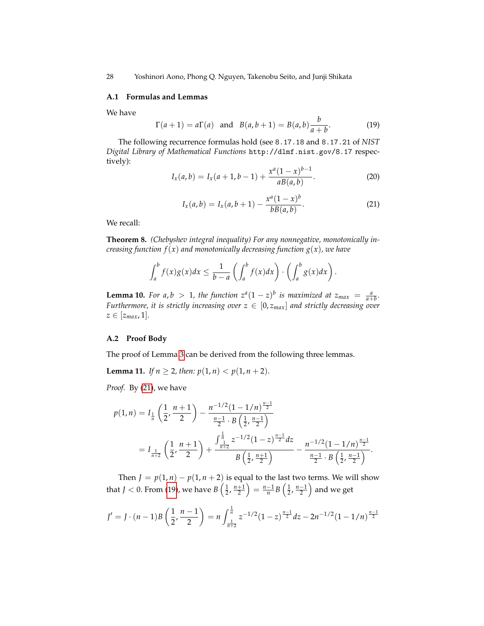28 Yoshinori Aono, Phong Q. Nguyen, Takenobu Seito, and Junji Shikata

### **A.1 Formulas and Lemmas**

We have

<span id="page-27-1"></span>
$$
\Gamma(a + 1) = a\Gamma(a)
$$
 and  $B(a, b + 1) = B(a, b)\frac{b}{a + b}$ . (19)

<span id="page-27-2"></span>The following recurrence formulas hold (see 8.17.18 and 8.17.21 of *NIST Digital Library of Mathematical Functions* http://dlmf.nist.gov/8.17 respectively): *b*−1

$$
I_x(a,b) = I_x(a+1,b-1) + \frac{x^a(1-x)^{b-1}}{aB(a,b)}.
$$
 (20)

$$
I_x(a,b) = I_x(a,b+1) - \frac{x^a(1-x)^b}{bB(a,b)}.
$$
 (21)

<span id="page-27-0"></span>We recall:

**Theorem 8.** *(Chebyshev integral inequality) For any nonnegative, monotonically increasing function f*(*x*) *and monotonically decreasing function g*(*x*)*, we have*

$$
\int_a^b f(x)g(x)dx \leq \frac{1}{b-a}\left(\int_a^b f(x)dx\right) \cdot \left(\int_a^b g(x)dx\right).
$$

**Lemma 10.** For a,  $b > 1$ , the function  $z^a(1-z)^b$  is maximized at  $z_{max} = \frac{a}{a+b}$ . *Furthermore, it is strictly increasing over*  $z \in [0, z_{max}]$  and strictly decreasing over  $z \in [z_{max}, 1].$ 

# **A.2 Proof Body**

The proof of Lemma [3](#page-9-1) can be derived from the following three lemmas.

**Lemma 11.** *If*  $n \ge 2$ *, then:*  $p(1, n) < p(1, n + 2)$ *.* 

*Proof.* By [\(21\)](#page-27-0), we have

$$
p(1,n) = I_{\frac{1}{n}}\left(\frac{1}{2}, \frac{n+1}{2}\right) - \frac{n^{-1/2}(1-1/n)^{\frac{n-1}{2}}}{\frac{n-1}{2} \cdot B\left(\frac{1}{2}, \frac{n-1}{2}\right)}
$$
  
=  $I_{\frac{1}{n+2}}\left(\frac{1}{2}, \frac{n+1}{2}\right) + \frac{\int_{\frac{1}{n+2}}^{\frac{1}{n}} z^{-1/2} (1-z)^{\frac{n-1}{2}} dz}{B\left(\frac{1}{2}, \frac{n+1}{2}\right)} - \frac{n^{-1/2}(1-1/n)^{\frac{n-1}{2}}}{\frac{n-1}{2} \cdot B\left(\frac{1}{2}, \frac{n-1}{2}\right)}.$ 

Then  $J = p(1, n) - p(1, n + 2)$  is equal to the last two terms. We will show that  $J < 0$ . From [\(19\)](#page-27-1), we have  $B\left(\frac{1}{2},\frac{n+1}{2}\right) = \frac{n-1}{n}B\left(\frac{1}{2},\frac{n-1}{2}\right)$  and we get

$$
J' = J \cdot (n-1)B\left(\frac{1}{2}, \frac{n-1}{2}\right) = n \int_{\frac{1}{n+2}}^{\frac{1}{n}} z^{-1/2} (1-z)^{\frac{n-1}{2}} dz - 2n^{-1/2} (1-1/n)^{\frac{n-1}{2}}
$$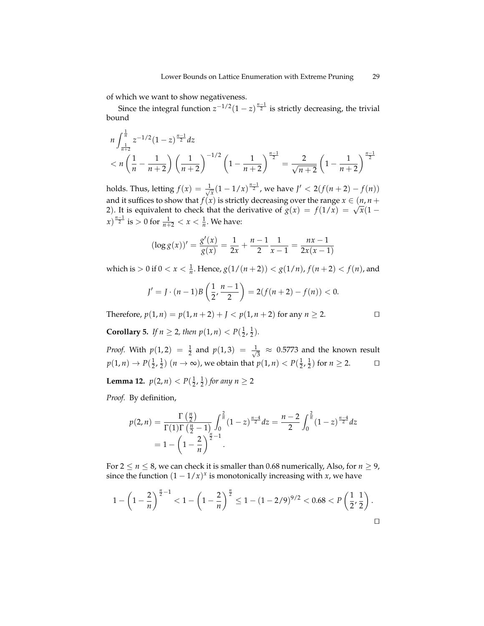of which we want to show negativeness.

Since the integral function  $z^{-1/2}(1-z)^{\frac{n-1}{2}}$  is strictly decreasing, the trivial bound

$$
n\int_{\frac{1}{n+2}}^{\frac{1}{n}} z^{-1/2} (1-z)^{\frac{n-1}{2}} dz
$$
  

$$
< n\left(\frac{1}{n} - \frac{1}{n+2}\right) \left(\frac{1}{n+2}\right)^{-1/2} \left(1 - \frac{1}{n+2}\right)^{\frac{n-1}{2}} = \frac{2}{\sqrt{n+2}} \left(1 - \frac{1}{n+2}\right)^{\frac{n-1}{2}}
$$

holds. Thus, letting  $f(x) = \frac{1}{\sqrt{2}}$  $\frac{1}{x}(1-1/x)^{\frac{n-1}{2}}$ , we have  $J' < 2(f(n+2)-f(n))$ and it suffices to show that *f*(*x*) is strictly decreasing over the range *x*  $\in$  (*n*, *n* + and it sumess to show that  $f(x)$  is strictly decreasing over the range  $x \in (n, n + 2)$ . It is equivalent to check that the derivative of  $g(x) = f(1/x) = \sqrt{x}(1$  $f(x)$ <sup> $\frac{n-1}{2}$ </sup> is > 0 for  $\frac{1}{n+2} < x < \frac{1}{n}$ . We have:

$$
(\log g(x))' = \frac{g'(x)}{g(x)} = \frac{1}{2x} + \frac{n-1}{2} \frac{1}{x-1} = \frac{nx-1}{2x(x-1)}
$$

which is  $> 0$  if  $0 < x < \frac{1}{n}$ . Hence,  $g(1/(n+2)) < g(1/n)$ ,  $f(n+2) < f(n)$ , and

$$
J' = J \cdot (n-1)B\left(\frac{1}{2}, \frac{n-1}{2}\right) = 2(f(n+2) - f(n)) < 0.
$$

Therefore,  $p(1, n) = p(1, n + 2) + I < p(1, n + 2)$  for any  $n \ge 2$ .

**Corollary 5.** *If*  $n \ge 2$ *, then*  $p(1, n) < P(\frac{1}{2}, \frac{1}{2})$ *.* 

*Proof.* With  $p(1, 2) = \frac{1}{2}$  and  $p(1, 3) = \frac{1}{\sqrt{2}}$  $\frac{1}{3}$   $\approx$  0.5773 and the known result  $p(1, n)$  →  $P(\frac{1}{2}, \frac{1}{2})$   $(n \to \infty)$ , we obtain that  $p(1, n) < P(\frac{1}{2}, \frac{1}{2})$  for  $n \ge 2$ . □

**Lemma 12.**  $p(2, n) < P(\frac{1}{2}, \frac{1}{2})$  for any  $n \ge 2$ 

*Proof.* By definition,

$$
p(2,n) = \frac{\Gamma(\frac{n}{2})}{\Gamma(1)\Gamma(\frac{n}{2}-1)} \int_0^{\frac{2}{n}} (1-z)^{\frac{n-4}{2}} dz = \frac{n-2}{2} \int_0^{\frac{2}{n}} (1-z)^{\frac{n-4}{2}} dz
$$
  
=  $1 - \left(1 - \frac{2}{n}\right)^{\frac{n}{2}-1}.$ 

For  $2 \le n \le 8$ , we can check it is smaller than 0.68 numerically, Also, for  $n \ge 9$ , since the function  $(1 - 1/x)^x$  is monotonically increasing with *x*, we have

$$
1 - \left(1 - \frac{2}{n}\right)^{\frac{n}{2} - 1} < 1 - \left(1 - \frac{2}{n}\right)^{\frac{n}{2}} \le 1 - (1 - 2/9)^{9/2} < 0.68 < P\left(\frac{1}{2}, \frac{1}{2}\right).
$$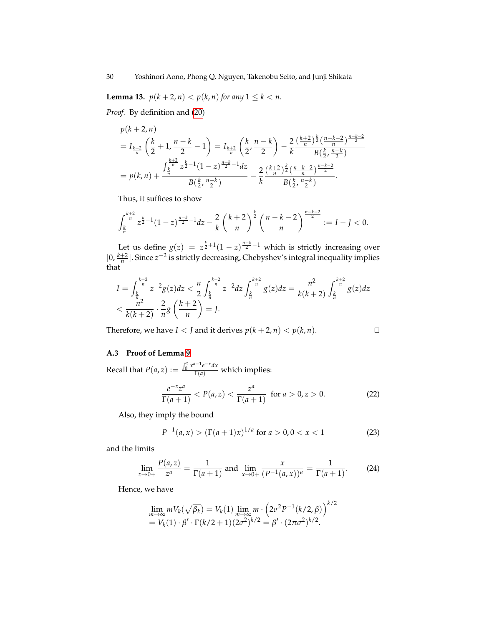**Lemma 13.**  $p(k + 2, n) < p(k, n)$  for any  $1 \le k < n$ .

*Proof.* By definition and [\(20\)](#page-27-2)

$$
p(k+2,n)
$$
  
=  $I_{\frac{k+2}{n}}\left(\frac{k}{2}+1,\frac{n-k}{2}-1\right) = I_{\frac{k+2}{n}}\left(\frac{k}{2},\frac{n-k}{2}\right) - \frac{2}{k}\frac{\left(\frac{k+2}{n}\right)^{\frac{k}{2}}\left(\frac{n-k-2}{n}\right)^{\frac{n-k-2}{2}}}{B\left(\frac{k}{2},\frac{n-k}{2}\right)}$   
=  $p(k,n) + \frac{\int_{\frac{k}{n}}^{\frac{k+2}{n}} z^{\frac{k}{2}-1}(1-z)^{\frac{n-k}{2}-1}dz}{B\left(\frac{k}{2},\frac{n-k}{2}\right)} - \frac{2}{k}\frac{\left(\frac{k+2}{n}\right)^{\frac{k}{2}}\left(\frac{n-k-2}{n}\right)^{\frac{n-k-2}{2}}}{B\left(\frac{k}{2},\frac{n-k}{2}\right)}.$ 

Thus, it suffices to show

$$
\int_{\frac{k}{n}}^{\frac{k+2}{n}} z^{\frac{k}{2}-1} (1-z)^{\frac{n-k}{2}-1} dz - \frac{2}{k} \left( \frac{k+2}{n} \right)^{\frac{k}{2}} \left( \frac{n-k-2}{n} \right)^{\frac{n-k-2}{2}} := I - J < 0.
$$

Let us define  $g(z) = z^{\frac{k}{2}+1}(1-z)^{\frac{n-k}{2}-1}$  which is strictly increasing over  $[0, \frac{k+2}{n}]$ . Since  $z^{-2}$  is strictly decreasing, Chebyshev's integral inequality implies that

$$
I = \int_{\frac{k}{n}}^{\frac{k+2}{n}} z^{-2} g(z) dz < \frac{n}{2} \int_{\frac{k}{n}}^{\frac{k+2}{n}} z^{-2} dz \int_{\frac{k}{n}}^{\frac{k+2}{n}} g(z) dz = \frac{n^2}{k(k+2)} \int_{\frac{k}{n}}^{\frac{k+2}{n}} g(z) dz < \frac{n^2}{k(k+2)} \cdot \frac{2}{n} g\left(\frac{k+2}{n}\right) = J.
$$

Therefore, we have *I* < *J* and it derives  $p(k + 2, n)$  <  $p(k, n)$ .

<span id="page-29-1"></span>
$$
\Box
$$

# <span id="page-29-0"></span>**A.3 Proof of Lemma [9](#page-15-1)**

Recall that  $P(a, z) := \frac{\int_0^z x^{a-1} e^{-x} dx}{\Gamma(a)}$  which implies:

$$
\frac{e^{-z}z^a}{\Gamma(a+1)} < P(a,z) < \frac{z^a}{\Gamma(a+1)} \quad \text{for } a > 0, z > 0. \tag{22}
$$

Also, they imply the bound

$$
P^{-1}(a, x) > \left( \Gamma(a+1)x \right)^{1/a} \text{ for } a > 0, 0 < x < 1 \tag{23}
$$

and the limits

$$
\lim_{z \to 0+} \frac{P(a,z)}{z^a} = \frac{1}{\Gamma(a+1)} \text{ and } \lim_{x \to 0+} \frac{x}{(P^{-1}(a,x))^a} = \frac{1}{\Gamma(a+1)}.
$$
 (24)

Hence, we have

$$
\lim_{m \to \infty} m V_k(\sqrt{\beta_k}) = V_k(1) \lim_{m \to \infty} m \cdot (2\sigma^2 P^{-1}(k/2, \beta))^{k/2}
$$
  
=  $V_k(1) \cdot \beta' \cdot \Gamma(k/2 + 1)(2\sigma^2)^{k/2} = \beta' \cdot (2\pi\sigma^2)^{k/2}.$